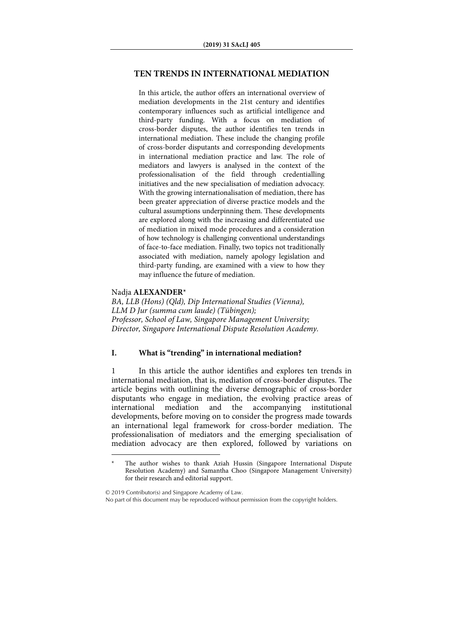# **TEN TRENDS IN INTERNATIONAL MEDIATION**

In this article, the author offers an international overview of mediation developments in the 21st century and identifies contemporary influences such as artificial intelligence and third-party funding. With a focus on mediation of cross-border disputes, the author identifies ten trends in international mediation. These include the changing profile of cross-border disputants and corresponding developments in international mediation practice and law. The role of mediators and lawyers is analysed in the context of the professionalisation of the field through credentialling initiatives and the new specialisation of mediation advocacy. With the growing internationalisation of mediation, there has been greater appreciation of diverse practice models and the cultural assumptions underpinning them. These developments are explored along with the increasing and differentiated use of mediation in mixed mode procedures and a consideration of how technology is challenging conventional understandings of face-to-face mediation. Finally, two topics not traditionally associated with mediation, namely apology legislation and third-party funding, are examined with a view to how they may influence the future of mediation.

## Nadja **ALEXANDER**\*

 $\overline{a}$ 

BA, LLB (Hons) (Qld), Dip International Studies (Vienna), LLM D Jur (summa cum laude) (Tübingen); Professor, School of Law, Singapore Management University; Director, Singapore International Dispute Resolution Academy.

# **I. What is "trending" in international mediation?**

1 In this article the author identifies and explores ten trends in international mediation, that is, mediation of cross-border disputes. The article begins with outlining the diverse demographic of cross-border disputants who engage in mediation, the evolving practice areas of international mediation and the accompanying institutional international mediation and the accompanying institutional developments, before moving on to consider the progress made towards an international legal framework for cross-border mediation. The professionalisation of mediators and the emerging specialisation of mediation advocacy are then explored, followed by variations on

The author wishes to thank Aziah Hussin (Singapore International Dispute Resolution Academy) and Samantha Choo (Singapore Management University) for their research and editorial support.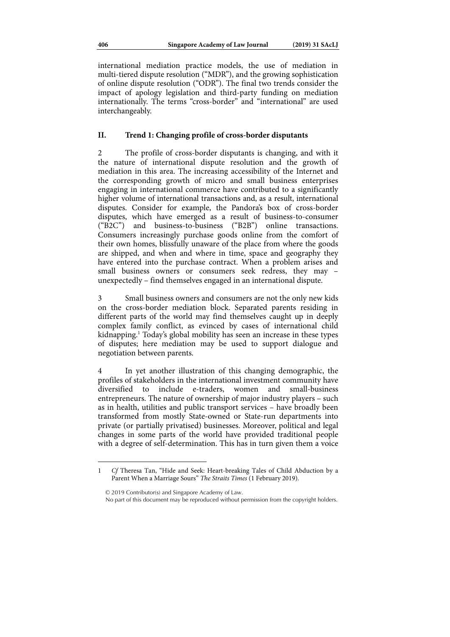international mediation practice models, the use of mediation in multi-tiered dispute resolution ("MDR"), and the growing sophistication of online dispute resolution ("ODR"). The final two trends consider the impact of apology legislation and third-party funding on mediation internationally. The terms "cross-border" and "international" are used interchangeably.

## **II. Trend 1: Changing profile of cross-border disputants**

2 The profile of cross-border disputants is changing, and with it the nature of international dispute resolution and the growth of mediation in this area. The increasing accessibility of the Internet and the corresponding growth of micro and small business enterprises engaging in international commerce have contributed to a significantly higher volume of international transactions and, as a result, international disputes. Consider for example, the Pandora's box of cross-border disputes, which have emerged as a result of business-to-consumer ("B2C") and business-to-business ("B2B") online transactions. Consumers increasingly purchase goods online from the comfort of their own homes, blissfully unaware of the place from where the goods are shipped, and when and where in time, space and geography they have entered into the purchase contract. When a problem arises and small business owners or consumers seek redress, they may – unexpectedly – find themselves engaged in an international dispute.

3 Small business owners and consumers are not the only new kids on the cross-border mediation block. Separated parents residing in different parts of the world may find themselves caught up in deeply complex family conflict, as evinced by cases of international child kidnapping.1 Today's global mobility has seen an increase in these types of disputes; here mediation may be used to support dialogue and negotiation between parents.

4 In yet another illustration of this changing demographic, the profiles of stakeholders in the international investment community have diversified to include e-traders, women and small-business entrepreneurs. The nature of ownership of major industry players – such as in health, utilities and public transport services – have broadly been transformed from mostly State-owned or State-run departments into private (or partially privatised) businesses. Moreover, political and legal changes in some parts of the world have provided traditional people with a degree of self-determination. This has in turn given them a voice

<sup>1</sup> Cf Theresa Tan, "Hide and Seek: Heart-breaking Tales of Child Abduction by a Parent When a Marriage Sours" The Straits Times (1 February 2019).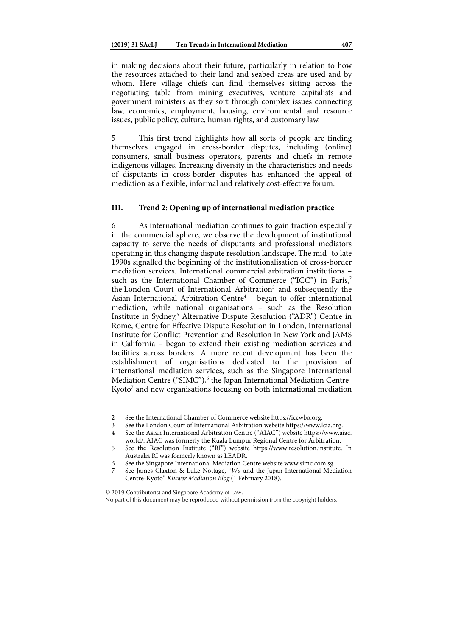in making decisions about their future, particularly in relation to how the resources attached to their land and seabed areas are used and by whom. Here village chiefs can find themselves sitting across the negotiating table from mining executives, venture capitalists and government ministers as they sort through complex issues connecting law, economics, employment, housing, environmental and resource issues, public policy, culture, human rights, and customary law.

5 This first trend highlights how all sorts of people are finding themselves engaged in cross-border disputes, including (online) consumers, small business operators, parents and chiefs in remote indigenous villages. Increasing diversity in the characteristics and needs of disputants in cross-border disputes has enhanced the appeal of mediation as a flexible, informal and relatively cost-effective forum.

# **III. Trend 2: Opening up of international mediation practice**

6 As international mediation continues to gain traction especially in the commercial sphere, we observe the development of institutional capacity to serve the needs of disputants and professional mediators operating in this changing dispute resolution landscape. The mid- to late 1990s signalled the beginning of the institutionalisation of cross-border mediation services. International commercial arbitration institutions – such as the International Chamber of Commerce ("ICC") in Paris,<sup>2</sup> the London Court of International Arbitration<sup>3</sup> and subsequently the Asian International Arbitration Centre<sup>4</sup> - began to offer international mediation, while national organisations – such as the Resolution Institute in Sydney,<sup>5</sup> Alternative Dispute Resolution ("ADR") Centre in Rome, Centre for Effective Dispute Resolution in London, International Institute for Conflict Prevention and Resolution in New York and JAMS in California – began to extend their existing mediation services and facilities across borders. A more recent development has been the establishment of organisations dedicated to the provision of international mediation services, such as the Singapore International Mediation Centre ("SIMC"),<sup>6</sup> the Japan International Mediation Centre-Kyoto<sup>7</sup> and new organisations focusing on both international mediation

© 2019 Contributor(s) and Singapore Academy of Law.

<sup>2</sup> See the International Chamber of Commerce website https://iccwbo.org.<br>3 See the London Court of International Arbitration website https://www.l

<sup>3</sup> See the London Court of International Arbitration website https://www.lcia.org.<br>4 See the Asian International Arbitration Centre ("AIAC") website https://www.ai

<sup>4</sup> See the Asian International Arbitration Centre ("AIAC") website https://www.aiac. world/. AIAC was formerly the Kuala Lumpur Regional Centre for Arbitration.

<sup>5</sup> See the Resolution Institute ("RI") website https://www.resolution.institute. In Australia RI was formerly known as LEADR.

<sup>6</sup> See the Singapore International Mediation Centre website www.simc.com.sg.<br>7 See James Claxton & Luke Nottage "Wa and the Japan International Med

See James Claxton & Luke Nottage, "Wa and the Japan International Mediation Centre-Kyoto" Kluwer Mediation Blog (1 February 2018).

No part of this document may be reproduced without permission from the copyright holders.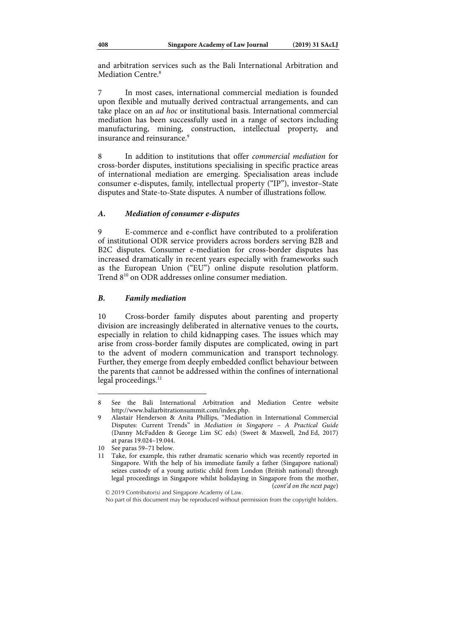and arbitration services such as the Bali International Arbitration and Mediation Centre<sup>8</sup>

In most cases, international commercial mediation is founded upon flexible and mutually derived contractual arrangements, and can take place on an ad hoc or institutional basis. International commercial mediation has been successfully used in a range of sectors including manufacturing, mining, construction, intellectual property, and insurance and reinsurance<sup>9</sup>

8 In addition to institutions that offer commercial mediation for cross-border disputes, institutions specialising in specific practice areas of international mediation are emerging. Specialisation areas include consumer e-disputes, family, intellectual property ("IP"), investor–State disputes and State-to-State disputes. A number of illustrations follow.

### *A. Mediation of consumer e-disputes*

9 E-commerce and e-conflict have contributed to a proliferation of institutional ODR service providers across borders serving B2B and B2C disputes. Consumer e-mediation for cross-border disputes has increased dramatically in recent years especially with frameworks such as the European Union ("EU") online dispute resolution platform. Trend 8<sup>10</sup> on ODR addresses online consumer mediation.

#### *B. Family mediation*

10 Cross-border family disputes about parenting and property division are increasingly deliberated in alternative venues to the courts, especially in relation to child kidnapping cases. The issues which may arise from cross-border family disputes are complicated, owing in part to the advent of modern communication and transport technology. Further, they emerge from deeply embedded conflict behaviour between the parents that cannot be addressed within the confines of international legal proceedings.<sup>11</sup>

<sup>8</sup> See the Bali International Arbitration and Mediation Centre website http://www.baliarbitrationsummit.com/index.php.

<sup>9</sup> Alastair Henderson & Anita Phillips, "Mediation in International Commercial Disputes: Current Trends" in Mediation in Singapore – A Practical Guide (Danny McFadden & George Lim SC eds) (Sweet & Maxwell, 2nd Ed, 2017) at paras 19.024–19.044.

<sup>10</sup> See paras 59–71 below.

<sup>11</sup> Take, for example, this rather dramatic scenario which was recently reported in Singapore. With the help of his immediate family a father (Singapore national) seizes custody of a young autistic child from London (British national) through legal proceedings in Singapore whilst holidaying in Singapore from the mother, (cont'd on the next page)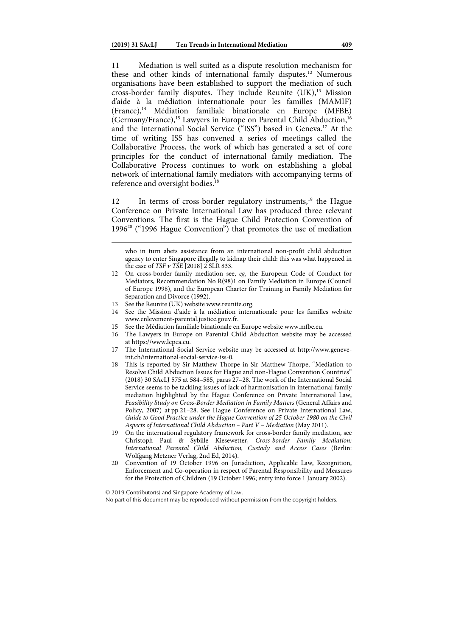11 Mediation is well suited as a dispute resolution mechanism for these and other kinds of international family disputes.<sup>12</sup> Numerous organisations have been established to support the mediation of such cross-border family disputes. They include Reunite  $(UK)$ ,<sup>13</sup> Mission d'aide à la médiation internationale pour les familles (MAMIF) (France),14 Médiation familiale binationale en Europe (MFBE) (Germany/France),<sup>15</sup> Lawyers in Europe on Parental Child Abduction,<sup>16</sup> and the International Social Service ("ISS") based in Geneva.17 At the time of writing ISS has convened a series of meetings called the Collaborative Process, the work of which has generated a set of core principles for the conduct of international family mediation. The Collaborative Process continues to work on establishing a global network of international family mediators with accompanying terms of reference and oversight bodies.<sup>18</sup>

12 In terms of cross-border regulatory instruments,<sup>19</sup> the Hague Conference on Private International Law has produced three relevant Conventions. The first is the Hague Child Protection Convention of 1996<sup>20</sup> ("1996 Hague Convention") that promotes the use of mediation

who in turn abets assistance from an international non-profit child abduction agency to enter Singapore illegally to kidnap their child: this was what happened in the case of  $TSF \nu TSE$  [2018] 2 SLR 833.

13 See the Reunite (UK) website www.reunite.org.

- 14 See the Mission d'aide à la médiation internationale pour les familles website www.enlevement-parental.justice.gouv.fr.
- 15 See the Médiation familiale binationale en Europe website www.mfbe.eu.
- 16 The Lawyers in Europe on Parental Child Abduction website may be accessed at https://www.lepca.eu.
- 17 The International Social Service website may be accessed at http://www.geneveint.ch/international-social-service-iss-0.
- 18 This is reported by Sir Matthew Thorpe in Sir Matthew Thorpe, "Mediation to Resolve Child Abduction Issues for Hague and non-Hague Convention Countries" (2018) 30 SAcLJ 575 at 584–585, paras 27–28. The work of the International Social Service seems to be tackling issues of lack of harmonisation in international family mediation highlighted by the Hague Conference on Private International Law, Feasibility Study on Cross-Border Mediation in Family Matters (General Affairs and Policy, 2007) at pp 21–28. See Hague Conference on Private International Law, Guide to Good Practice under the Hague Convention of 25 October 1980 on the Civil Aspects of International Child Abduction – Part V – Mediation (May 2011).
- 19 On the international regulatory framework for cross-border family mediation, see Christoph Paul & Sybille Kiesewetter, Cross-border Family Mediation: International Parental Child Abduction, Custody and Access Cases (Berlin: Wolfgang Metzner Verlag, 2nd Ed, 2014).
- 20 Convention of 19 October 1996 on Jurisdiction, Applicable Law, Recognition, Enforcement and Co-operation in respect of Parental Responsibility and Measures for the Protection of Children (19 October 1996; entry into force 1 January 2002).

<sup>12</sup> On cross-border family mediation see, eg, the European Code of Conduct for Mediators, Recommendation No R(98)1 on Family Mediation in Europe (Council of Europe 1998), and the European Charter for Training in Family Mediation for Separation and Divorce (1992).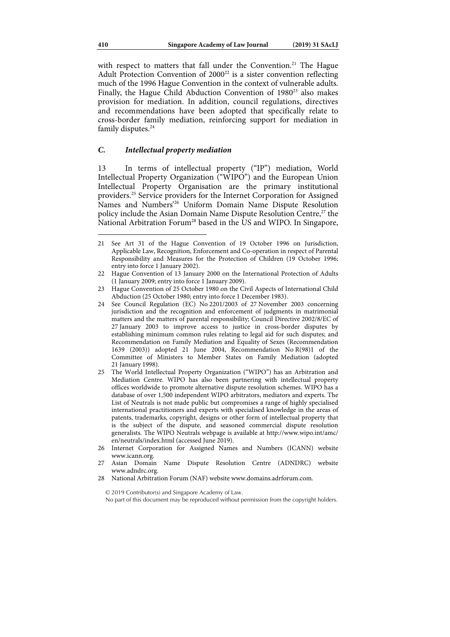with respect to matters that fall under the Convention.<sup>21</sup> The Hague Adult Protection Convention of  $2000^{22}$  is a sister convention reflecting much of the 1996 Hague Convention in the context of vulnerable adults. Finally, the Hague Child Abduction Convention of 1980<sup>23</sup> also makes provision for mediation. In addition, council regulations, directives and recommendations have been adopted that specifically relate to cross-border family mediation, reinforcing support for mediation in family disputes.<sup>24</sup>

#### *C. Intellectual property mediation*

13 In terms of intellectual property ("IP") mediation, World Intellectual Property Organization ("WIPO") and the European Union Intellectual Property Organisation are the primary institutional providers.25 Service providers for the Internet Corporation for Assigned Names and Numbers'26 Uniform Domain Name Dispute Resolution policy include the Asian Domain Name Dispute Resolution Centre,<sup>27</sup> the National Arbitration Forum<sup>28</sup> based in the US and WIPO. In Singapore,

- 24 See Council Regulation (EC) No 2201/2003 of 27 November 2003 concerning jurisdiction and the recognition and enforcement of judgments in matrimonial matters and the matters of parental responsibility; Council Directive 2002/8/EC of 27 January 2003 to improve access to justice in cross-border disputes by establishing minimum common rules relating to legal aid for such disputes; and Recommendation on Family Mediation and Equality of Sexes (Recommendation 1639 (2003)) adopted 21 June 2004, Recommendation No R(98)1 of the Committee of Ministers to Member States on Family Mediation (adopted 21 January 1998).
- 25 The World Intellectual Property Organization ("WIPO") has an Arbitration and Mediation Centre. WIPO has also been partnering with intellectual property offices worldwide to promote alternative dispute resolution schemes. WIPO has a database of over 1,500 independent WIPO arbitrators, mediators and experts. The List of Neutrals is not made public but compromises a range of highly specialised international practitioners and experts with specialised knowledge in the areas of patents, trademarks, copyright, designs or other form of intellectual property that is the subject of the dispute, and seasoned commercial dispute resolution generalists. The WIPO Neutrals webpage is available at http://www.wipo.int/amc/ en/neutrals/index.html (accessed June 2019).
- 26 Internet Corporation for Assigned Names and Numbers (ICANN) website www.icann.org.
- 27 Asian Domain Name Dispute Resolution Centre (ADNDRC) website www.adndrc.org.
- 28 National Arbitration Forum (NAF) website www.domains.adrforum.com.

<sup>21</sup> See Art 31 of the Hague Convention of 19 October 1996 on Jurisdiction, Applicable Law, Recognition, Enforcement and Co-operation in respect of Parental Responsibility and Measures for the Protection of Children (19 October 1996; entry into force 1 January 2002).

<sup>22</sup> Hague Convention of 13 January 2000 on the International Protection of Adults (1 January 2009; entry into force 1 January 2009).

<sup>23</sup> Hague Convention of 25 October 1980 on the Civil Aspects of International Child Abduction (25 October 1980; entry into force 1 December 1983).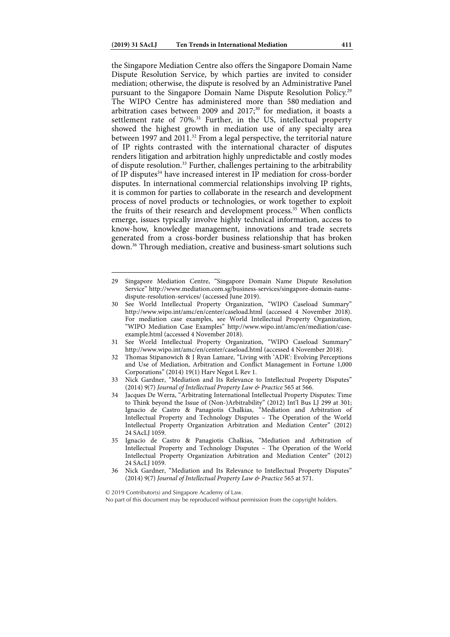the Singapore Mediation Centre also offers the Singapore Domain Name Dispute Resolution Service, by which parties are invited to consider mediation; otherwise, the dispute is resolved by an Administrative Panel pursuant to the Singapore Domain Name Dispute Resolution Policy.29 The WIPO Centre has administered more than 580 mediation and arbitration cases between 2009 and  $2017$ ;<sup>30</sup> for mediation, it boasts a settlement rate of 70%.<sup>31</sup> Further, in the US, intellectual property showed the highest growth in mediation use of any specialty area between 1997 and 2011.<sup>32</sup> From a legal perspective, the territorial nature of IP rights contrasted with the international character of disputes renders litigation and arbitration highly unpredictable and costly modes of dispute resolution.33 Further, challenges pertaining to the arbitrability of IP disputes<sup>34</sup> have increased interest in IP mediation for cross-border disputes. In international commercial relationships involving IP rights, it is common for parties to collaborate in the research and development process of novel products or technologies, or work together to exploit the fruits of their research and development process.<sup>35</sup> When conflicts emerge, issues typically involve highly technical information, access to

know-how, knowledge management, innovations and trade secrets generated from a cross-border business relationship that has broken down.36 Through mediation, creative and business-smart solutions such

<sup>29</sup> Singapore Mediation Centre, "Singapore Domain Name Dispute Resolution Service" http://www.mediation.com.sg/business-services/singapore-domain-namedispute-resolution-services/ (accessed June 2019).

<sup>30</sup> See World Intellectual Property Organization, "WIPO Caseload Summary" http://www.wipo.int/amc/en/center/caseload.html (accessed 4 November 2018). For mediation case examples, see World Intellectual Property Organization, "WIPO Mediation Case Examples" http://www.wipo.int/amc/en/mediation/caseexample.html (accessed 4 November 2018).

<sup>31</sup> See World Intellectual Property Organization, "WIPO Caseload Summary" http://www.wipo.int/amc/en/center/caseload.html (accessed 4 November 2018).

<sup>32</sup> Thomas Stipanowich & J Ryan Lamare, "Living with 'ADR': Evolving Perceptions and Use of Mediation, Arbitration and Conflict Management in Fortune 1,000 Corporations" (2014) 19(1) Harv Negot L Rev 1.

<sup>33</sup> Nick Gardner, "Mediation and Its Relevance to Intellectual Property Disputes" (2014) 9(7) Journal of Intellectual Property Law & Practice 565 at 566.

<sup>34</sup> Jacques De Werra, "Arbitrating International Intellectual Property Disputes: Time to Think beyond the Issue of (Non-)Arbitrability" (2012) Int'l Bus LJ 299 at 301; Ignacio de Castro & Panagiotis Chalkias, "Mediation and Arbitration of Intellectual Property and Technology Disputes – The Operation of the World Intellectual Property Organization Arbitration and Mediation Center" (2012) 24 SAcLJ 1059.

<sup>35</sup> Ignacio de Castro & Panagiotis Chalkias, "Mediation and Arbitration of Intellectual Property and Technology Disputes – The Operation of the World Intellectual Property Organization Arbitration and Mediation Center" (2012) 24 SAcLJ 1059.

<sup>36</sup> Nick Gardner, "Mediation and Its Relevance to Intellectual Property Disputes" (2014) 9(7) Journal of Intellectual Property Law & Practice 565 at 571.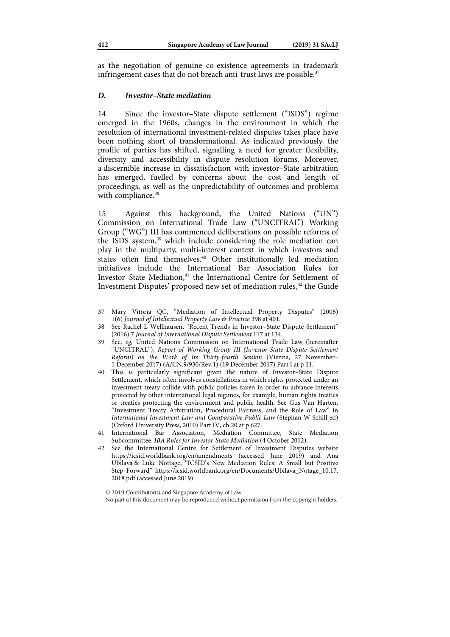as the negotiation of genuine co-existence agreements in trademark infringement cases that do not breach anti-trust laws are possible.<sup>37</sup>

### *D. Investor–State mediation*

14 Since the investor–State dispute settlement ("ISDS") regime emerged in the 1960s, changes in the environment in which the resolution of international investment-related disputes takes place have been nothing short of transformational. As indicated previously, the profile of parties has shifted, signalling a need for greater flexibility, diversity and accessibility in dispute resolution forums. Moreover, a discernible increase in dissatisfaction with investor–State arbitration has emerged, fuelled by concerns about the cost and length of proceedings, as well as the unpredictability of outcomes and problems with compliance.<sup>38</sup>

15 Against this background, the United Nations ("UN") Commission on International Trade Law ("UNCITRAL") Working Group ("WG") III has commenced deliberations on possible reforms of the ISDS system,<sup>39</sup> which include considering the role mediation can play in the multiparty, multi-interest context in which investors and states often find themselves.<sup>40</sup> Other institutionally led mediation initiatives include the International Bar Association Rules for Investor-State Mediation,<sup>41</sup> the International Centre for Settlement of Investment Disputes' proposed new set of mediation rules,<sup>42</sup> the Guide

<sup>37</sup> Mary Vitoria QC, "Mediation of Intellectual Property Disputes" (2006) 1(6) Journal of Intellectual Property Law & Practice 398 at 401.

<sup>38</sup> See Rachel L Wellhausen, "Recent Trends in Investor–State Dispute Settlement" (2016) 7 Journal of International Dispute Settlement 117 at 134.

<sup>39</sup> See, eg, United Nations Commission on International Trade Law (hereinafter "UNCITRAL"), Report of Working Group III (Investor-State Dispute Settlement Reform) on the Work of Its Thirty-fourth Session (Vienna, 27 November– 1 December 2017) (A/CN.9/930/Rev.1) (19 December 2017) Part I at p 11.

<sup>40</sup> This is particularly significant given the nature of Investor–State Dispute Settlement, which often involves constellations in which rights protected under an investment treaty collide with public policies taken in order to advance interests protected by other international legal regimes, for example, human rights treaties or treaties protecting the environment and public health. See Gus Van Harten, "Investment Treaty Arbitration, Procedural Fairness, and the Rule of Law" in International Investment Law and Comparative Public Law (Stephan W Schill ed) (Oxford University Press, 2010) Part IV, ch 20 at p 627.

Association, Mediation Committee, State Mediation Subcommittee, IBA Rules for Investor-State Mediation (4 October 2012).

<sup>42</sup> See the International Centre for Settlement of Investment Disputes website https://icsid.worldbank.org/en/amendments (accessed June 2019) and Ana Ubilava & Luke Nottage, "ICSID's New Mediation Rules: A Small but Positive Step Forward" https://icsid.worldbank.org/en/Documents/Ubilava\_Notage\_10.17. 2018.pdf (accessed June 2019).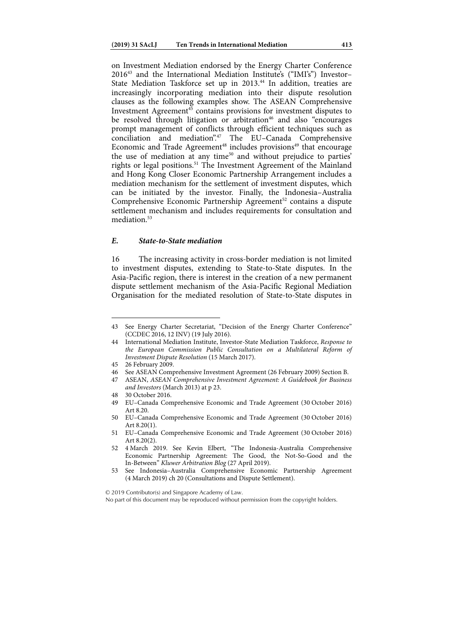on Investment Mediation endorsed by the Energy Charter Conference 201643 and the International Mediation Institute's ("IMI's") Investor– State Mediation Taskforce set up in 2013.<sup>44</sup> In addition, treaties are increasingly incorporating mediation into their dispute resolution clauses as the following examples show. The ASEAN Comprehensive Investment Agreement $45$  contains provisions for investment disputes to be resolved through litigation or arbitration<sup>46</sup> and also "encourages" prompt management of conflicts through efficient techniques such as conciliation and mediation".<sup>47</sup> The EU–Canada Comprehensive Economic and Trade Agreement<sup>48</sup> includes provisions<sup>49</sup> that encourage the use of mediation at any time<sup>50</sup> and without prejudice to parties' rights or legal positions.<sup>51</sup> The Investment Agreement of the Mainland and Hong Kong Closer Economic Partnership Arrangement includes a mediation mechanism for the settlement of investment disputes, which can be initiated by the investor. Finally, the Indonesia–Australia Comprehensive Economic Partnership Agreement<sup>52</sup> contains a dispute settlement mechanism and includes requirements for consultation and mediation<sup>53</sup>

### *E. State-to-State mediation*

16 The increasing activity in cross-border mediation is not limited to investment disputes, extending to State-to-State disputes. In the Asia-Pacific region, there is interest in the creation of a new permanent dispute settlement mechanism of the Asia-Pacific Regional Mediation Organisation for the mediated resolution of State-to-State disputes in

1

48 30 October 2016.

© 2019 Contributor(s) and Singapore Academy of Law.

<sup>43</sup> See Energy Charter Secretariat, "Decision of the Energy Charter Conference" (CCDEC 2016, 12 INV) (19 July 2016).

<sup>44</sup> International Mediation Institute, Investor-State Mediation Taskforce, Response to the European Commission Public Consultation on a Multilateral Reform of Investment Dispute Resolution (15 March 2017).

<sup>45 26</sup> February 2009.

<sup>46</sup> See ASEAN Comprehensive Investment Agreement (26 February 2009) Section B.

<sup>47</sup> ASEAN, ASEAN Comprehensive Investment Agreement: A Guidebook for Business and Investors (March 2013) at p 23.

<sup>49</sup> EU–Canada Comprehensive Economic and Trade Agreement (30 October 2016) Art 8.20.

<sup>50</sup> EU–Canada Comprehensive Economic and Trade Agreement (30 October 2016) Art 8.20(1).

<sup>51</sup> EU–Canada Comprehensive Economic and Trade Agreement (30 October 2016) Art 8.20(2).

<sup>52 4</sup> March 2019. See Kevin Elbert, "The Indonesia-Australia Comprehensive Economic Partnership Agreement: The Good, the Not-So-Good and the In-Between" Kluwer Arbitration Blog (27 April 2019).

<sup>53</sup> See Indonesia–Australia Comprehensive Economic Partnership Agreement (4 March 2019) ch 20 (Consultations and Dispute Settlement).

No part of this document may be reproduced without permission from the copyright holders.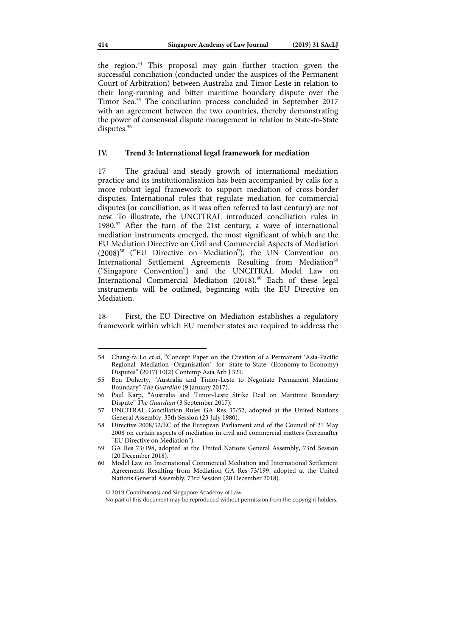the region.54 This proposal may gain further traction given the successful conciliation (conducted under the auspices of the Permanent Court of Arbitration) between Australia and Timor-Leste in relation to their long-running and bitter maritime boundary dispute over the Timor Sea.55 The conciliation process concluded in September 2017 with an agreement between the two countries, thereby demonstrating the power of consensual dispute management in relation to State-to-State disputes.<sup>56</sup>

#### **IV. Trend 3: International legal framework for mediation**

17 The gradual and steady growth of international mediation practice and its institutionalisation has been accompanied by calls for a more robust legal framework to support mediation of cross-border disputes. International rules that regulate mediation for commercial disputes (or conciliation, as it was often referred to last century) are not new. To illustrate, the UNCITRAL introduced conciliation rules in 1980.57 After the turn of the 21st century, a wave of international mediation instruments emerged, the most significant of which are the EU Mediation Directive on Civil and Commercial Aspects of Mediation (2008)58 ("EU Directive on Mediation"), the UN Convention on International Settlement Agreements Resulting from Mediation<sup>59</sup> ("Singapore Convention") and the UNCITRAL Model Law on International Commercial Mediation (2018).<sup>60</sup> Each of these legal instruments will be outlined, beginning with the EU Directive on Mediation.

18 First, the EU Directive on Mediation establishes a regulatory framework within which EU member states are required to address the

 $\overline{a}$ 

© 2019 Contributor(s) and Singapore Academy of Law.

No part of this document may be reproduced without permission from the copyright holders.

<sup>54</sup> Chang-fa Lo et al, "Concept Paper on the Creation of a Permanent 'Asia-Pacific Regional Mediation Organisation' for State-to-State (Economy-to-Economy) Disputes" (2017) 10(2) Contemp Asia Arb J 321.

<sup>55</sup> Ben Doherty, "Australia and Timor-Leste to Negotiate Permanent Maritime Boundary" The Guardian (9 January 2017).

<sup>56</sup> Paul Karp, "Australia and Timor-Leste Strike Deal on Maritime Boundary Dispute" The Guardian (3 September 2017).

<sup>57</sup> UNCITRAL Conciliation Rules GA Res 35/52, adopted at the United Nations General Assembly, 35th Session (23 July 1980).

<sup>58</sup> Directive 2008/52/EC of the European Parliament and of the Council of 21 May 2008 on certain aspects of mediation in civil and commercial matters (hereinafter "EU Directive on Mediation").

<sup>59</sup> GA Res 73/198, adopted at the United Nations General Assembly, 73rd Session (20 December 2018).

<sup>60</sup> Model Law on International Commercial Mediation and International Settlement Agreements Resulting from Mediation GA Res 73/199, adopted at the United Nations General Assembly, 73rd Session (20 December 2018).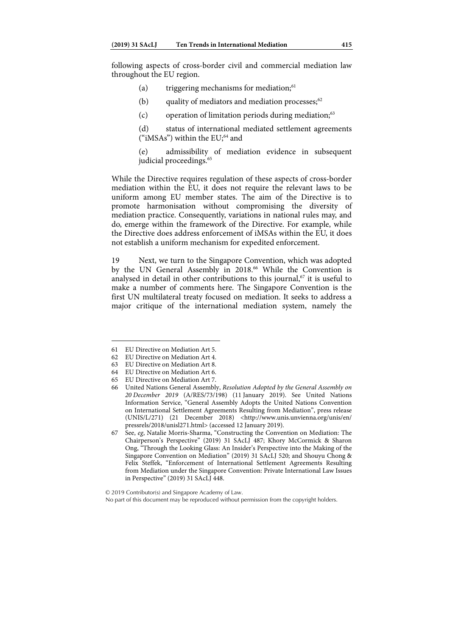following aspects of cross-border civil and commercial mediation law throughout the EU region.

- (a) triggering mechanisms for mediation; $61$
- (b) quality of mediators and mediation processes; $62$
- (c) operation of limitation periods during mediation; $63$

(d) status of international mediated settlement agreements ("iMSAs") within the  $EU; ^{64}$  and

(e) admissibility of mediation evidence in subsequent judicial proceedings.<sup>65</sup>

While the Directive requires regulation of these aspects of cross-border mediation within the EU, it does not require the relevant laws to be uniform among EU member states. The aim of the Directive is to promote harmonisation without compromising the diversity of mediation practice. Consequently, variations in national rules may, and do, emerge within the framework of the Directive. For example, while the Directive does address enforcement of iMSAs within the EU, it does not establish a uniform mechanism for expedited enforcement.

19 Next, we turn to the Singapore Convention, which was adopted by the UN General Assembly in 2018.<sup>66</sup> While the Convention is analysed in detail in other contributions to this journal,  $67$  it is useful to make a number of comments here. The Singapore Convention is the first UN multilateral treaty focused on mediation. It seeks to address a major critique of the international mediation system, namely the

<sup>61</sup> EU Directive on Mediation Art 5.

<sup>62</sup> EU Directive on Mediation Art 4.

<sup>63</sup> EU Directive on Mediation Art 8.

<sup>64</sup> EU Directive on Mediation Art 6.

<sup>65</sup> EU Directive on Mediation Art 7.

<sup>66</sup> United Nations General Assembly, Resolution Adopted by the General Assembly on 20 December 2019 (A/RES/73/198) (11 January 2019). See United Nations Information Service, "General Assembly Adopts the United Nations Convention on International Settlement Agreements Resulting from Mediation", press release (UNIS/L/271) (21 December 2018) <http://www.unis.unvienna.org/unis/en/ pressrels/2018/unisl271.html> (accessed 12 January 2019).

<sup>67</sup> See, eg, Natalie Morris-Sharma, "Constructing the Convention on Mediation: The Chairperson's Perspective" (2019) 31 SAcLJ 487; Khory McCormick & Sharon Ong, "Through the Looking Glass: An Insider's Perspective into the Making of the Singapore Convention on Mediation" (2019) 31 SAcLJ 520; and Shouyu Chong & Felix Steffek, "Enforcement of International Settlement Agreements Resulting from Mediation under the Singapore Convention: Private International Law Issues in Perspective" (2019) 31 SAcLJ 448.

No part of this document may be reproduced without permission from the copyright holders.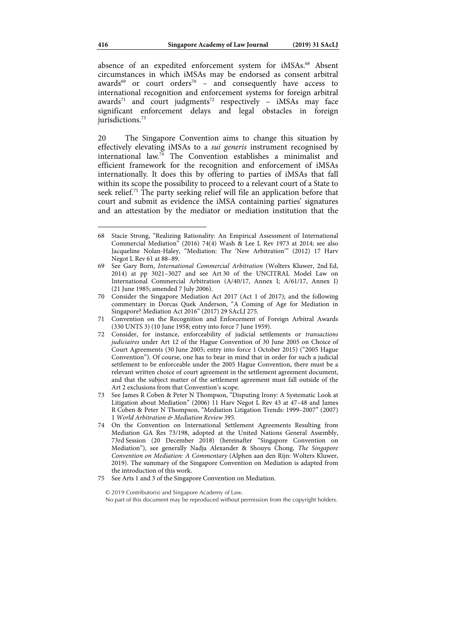absence of an expedited enforcement system for iMSAs.<sup>68</sup> Absent circumstances in which iMSAs may be endorsed as consent arbitral awards<sup>69</sup> or court orders<sup>70</sup> – and consequently have access to international recognition and enforcement systems for foreign arbitral awards<sup>71</sup> and court judgments<sup>72</sup> respectively – iMSAs may face significant enforcement delays and legal obstacles in foreign jurisdictions.<sup>73</sup>

20 The Singapore Convention aims to change this situation by effectively elevating iMSAs to a sui generis instrument recognised by international law.74 The Convention establishes a minimalist and efficient framework for the recognition and enforcement of iMSAs internationally. It does this by offering to parties of iMSAs that fall within its scope the possibility to proceed to a relevant court of a State to seek relief.75 The party seeking relief will file an application before that court and submit as evidence the iMSA containing parties' signatures and an attestation by the mediator or mediation institution that the

75 See Arts 1 and 3 of the Singapore Convention on Mediation.

<sup>68</sup> Stacie Strong, "Realizing Rationality: An Empirical Assessment of International Commercial Mediation" (2016) 74(4) Wash & Lee L Rev 1973 at 2014; see also Jacqueline Nolan-Haley, "Mediation: The 'New Arbitration'" (2012) 17 Harv Negot L Rev 61 at 88–89.

<sup>69</sup> See Gary Born, International Commercial Arbitration (Wolters Kluwer, 2nd Ed, 2014) at pp 3021–3027 and see Art 30 of the UNCITRAL Model Law on International Commercial Arbitration (A/40/17, Annex I; A/61/17, Annex I) (21 June 1985; amended 7 July 2006).

<sup>70</sup> Consider the Singapore Mediation Act 2017 (Act 1 of 2017); and the following commentary in Dorcas Quek Anderson, "A Coming of Age for Mediation in Singapore? Mediation Act 2016" (2017) 29 SAcLJ 275.

<sup>71</sup> Convention on the Recognition and Enforcement of Foreign Arbitral Awards (330 UNTS 3) (10 June 1958; entry into force 7 June 1959).

<sup>72</sup> Consider, for instance, enforceability of judicial settlements or transactions judiciaires under Art 12 of the Hague Convention of 30 June 2005 on Choice of Court Agreements (30 June 2005; entry into force 1 October 2015) ("2005 Hague Convention"). Of course, one has to bear in mind that in order for such a judicial settlement to be enforceable under the 2005 Hague Convention, there must be a relevant written choice of court agreement in the settlement agreement document, and that the subject matter of the settlement agreement must fall outside of the Art 2 exclusions from that Convention's scope.

<sup>73</sup> See James R Coben & Peter N Thompson, "Disputing Irony: A Systematic Look at Litigation about Mediation" (2006) 11 Harv Negot L Rev 43 at 47–48 and James R Coben & Peter N Thompson, "Mediation Litigation Trends: 1999–2007" (2007) 1 World Arbitration & Mediation Review 395.

<sup>74</sup> On the Convention on International Settlement Agreements Resulting from Mediation GA Res 73/198, adopted at the United Nations General Assembly, 73rd Session (20 December 2018) (hereinafter "Singapore Convention on Mediation"), see generally Nadja Alexander & Shouyu Chong, The Singapore Convention on Mediation: A Commentary (Alphen aan den Rijn: Wolters Kluwer, 2019). The summary of the Singapore Convention on Mediation is adapted from the introduction of this work.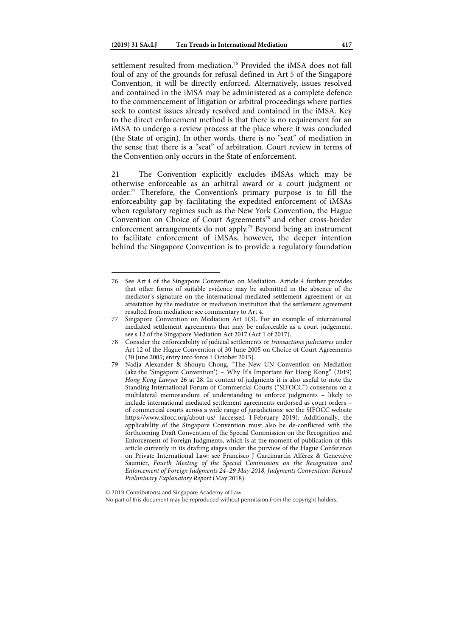settlement resulted from mediation.<sup>76</sup> Provided the iMSA does not fall foul of any of the grounds for refusal defined in Art 5 of the Singapore Convention, it will be directly enforced. Alternatively, issues resolved and contained in the iMSA may be administered as a complete defence to the commencement of litigation or arbitral proceedings where parties seek to contest issues already resolved and contained in the iMSA. Key to the direct enforcement method is that there is no requirement for an iMSA to undergo a review process at the place where it was concluded (the State of origin). In other words, there is no "seat" of mediation in the sense that there is a "seat" of arbitration. Court review in terms of the Convention only occurs in the State of enforcement.

21 The Convention explicitly excludes iMSAs which may be otherwise enforceable as an arbitral award or a court judgment or order.77 Therefore, the Convention's primary purpose is to fill the enforceability gap by facilitating the expedited enforcement of iMSAs when regulatory regimes such as the New York Convention, the Hague Convention on Choice of Court Agreements<sup>78</sup> and other cross-border enforcement arrangements do not apply.<sup>79</sup> Beyond being an instrument to facilitate enforcement of iMSAs, however, the deeper intention behind the Singapore Convention is to provide a regulatory foundation

 $\overline{a}$ 

No part of this document may be reproduced without permission from the copyright holders.

<sup>76</sup> See Art 4 of the Singapore Convention on Mediation. Article 4 further provides that other forms of suitable evidence may be submitted in the absence of the mediator's signature on the international mediated settlement agreement or an attestation by the mediator or mediation institution that the settlement agreement resulted from mediation: see commentary to Art 4.

<sup>77</sup> Singapore Convention on Mediation Art 1(3). For an example of international mediated settlement agreements that may be enforceable as a court judgement, see s 12 of the Singapore Mediation Act 2017 (Act 1 of 2017).

<sup>78</sup> Consider the enforceability of judicial settlements or transactions judiciaires under Art 12 of the Hague Convention of 30 June 2005 on Choice of Court Agreements (30 June 2005; entry into force 1 October 2015).

<sup>79</sup> Nadja Alexander & Shouyu Chong, "The New UN Convention on Mediation (aka the 'Singapore Convention') – Why It's Important for Hong Kong" (2019) Hong Kong Lawyer 26 at 28. In context of judgments it is also useful to note the Standing International Forum of Commercial Courts ("SIFOCC") consensus on a multilateral memorandum of understanding to enforce judgments – likely to include international mediated settlement agreements endorsed as court orders – of commercial courts across a wide range of jurisdictions: see the SIFOCC website https://www.sifocc.org/about-us/ (accessed 1 February 2019). Additionally, the applicability of the Singapore Convention must also be de-conflicted with the forthcoming Draft Convention of the Special Commission on the Recognition and Enforcement of Foreign Judgments, which is at the moment of publication of this article currently in its drafting stages under the purview of the Hague Conference on Private International Law: see Francisco J Garcimartín Alférez & Geneviève Saumier, Fourth Meeting of the Special Commission on the Recognition and Enforcement of Foreign Judgments 24–29 May 2018, Judgments Convention: Revised Preliminary Explanatory Report (May 2018).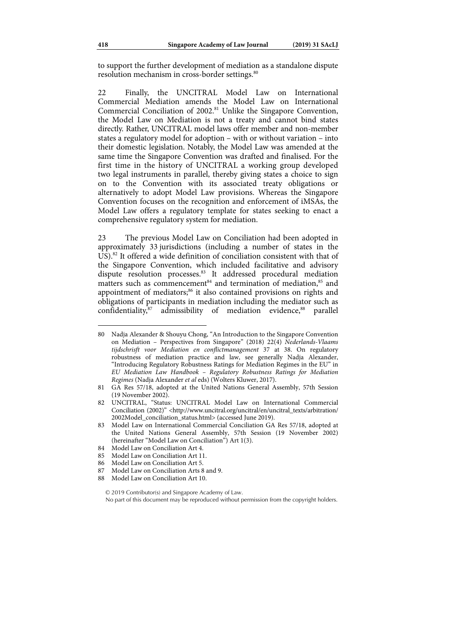to support the further development of mediation as a standalone dispute resolution mechanism in cross-border settings.<sup>80</sup>

22 Finally, the UNCITRAL Model Law on International Commercial Mediation amends the Model Law on International Commercial Conciliation of 2002.<sup>81</sup> Unlike the Singapore Convention, the Model Law on Mediation is not a treaty and cannot bind states directly. Rather, UNCITRAL model laws offer member and non-member states a regulatory model for adoption – with or without variation – into their domestic legislation. Notably, the Model Law was amended at the same time the Singapore Convention was drafted and finalised. For the first time in the history of UNCITRAL a working group developed two legal instruments in parallel, thereby giving states a choice to sign on to the Convention with its associated treaty obligations or alternatively to adopt Model Law provisions. Whereas the Singapore Convention focuses on the recognition and enforcement of iMSAs, the Model Law offers a regulatory template for states seeking to enact a comprehensive regulatory system for mediation.

23 The previous Model Law on Conciliation had been adopted in approximately 33 jurisdictions (including a number of states in the  $\overline{US}$ ).<sup>82</sup> It offered a wide definition of conciliation consistent with that of the Singapore Convention, which included facilitative and advisory dispute resolution processes.<sup>83</sup> It addressed procedural mediation matters such as commencement<sup>84</sup> and termination of mediation,<sup>85</sup> and appointment of mediators;<sup>86</sup> it also contained provisions on rights and obligations of participants in mediation including the mediator such as  $confidentiality<sup>87</sup>$  admissibility of mediation evidence,<sup>88</sup> parallel

- 84 Model Law on Conciliation Art 4.
- 85 Model Law on Conciliation Art 11.
- 86 Model Law on Conciliation Art 5.
- 87 Model Law on Conciliation Arts 8 and 9.
- 88 Model Law on Conciliation Art 10.

<sup>80</sup> Nadja Alexander & Shouyu Chong, "An Introduction to the Singapore Convention on Mediation – Perspectives from Singapore" (2018) 22(4) Nederlands-Vlaams tijdschrisft voor Mediation en conflictmanagement 37 at 38. On regulatory robustness of mediation practice and law, see generally Nadja Alexander, "Introducing Regulatory Robustness Ratings for Mediation Regimes in the EU" in EU Mediation Law Handbook – Regulatory Robustness Ratings for Mediation Regimes (Nadja Alexander et al eds) (Wolters Kluwer, 2017).

<sup>81</sup> GA Res 57/18, adopted at the United Nations General Assembly, 57th Session (19 November 2002).

<sup>82</sup> UNCITRAL, "Status: UNCITRAL Model Law on International Commercial Conciliation (2002)" <http://www.uncitral.org/uncitral/en/uncitral\_texts/arbitration/ 2002Model\_conciliation\_status.html> (accessed June 2019).

<sup>83</sup> Model Law on International Commercial Conciliation GA Res 57/18, adopted at the United Nations General Assembly, 57th Session (19 November 2002) (hereinafter "Model Law on Conciliation") Art 1(3).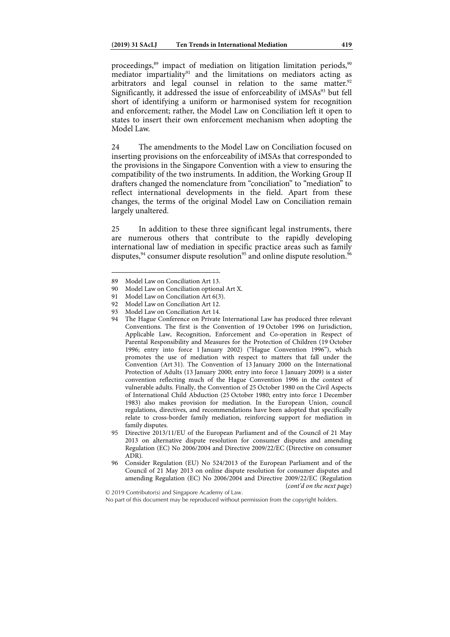proceedings, $89$  impact of mediation on litigation limitation periods, $90$ mediator impartiality<sup>91</sup> and the limitations on mediators acting as arbitrators and legal counsel in relation to the same matter.<sup>92</sup> Significantly, it addressed the issue of enforceability of iMSAs<sup>93</sup> but fell short of identifying a uniform or harmonised system for recognition and enforcement; rather, the Model Law on Conciliation left it open to states to insert their own enforcement mechanism when adopting the Model Law.

24 The amendments to the Model Law on Conciliation focused on inserting provisions on the enforceability of iMSAs that corresponded to the provisions in the Singapore Convention with a view to ensuring the compatibility of the two instruments. In addition, the Working Group II drafters changed the nomenclature from "conciliation" to "mediation" to reflect international developments in the field. Apart from these changes, the terms of the original Model Law on Conciliation remain largely unaltered.

25 In addition to these three significant legal instruments, there are numerous others that contribute to the rapidly developing international law of mediation in specific practice areas such as family disputes,  $94$  consumer dispute resolution<sup>95</sup> and online dispute resolution.<sup>96</sup>

<sup>89</sup> Model Law on Conciliation Art 13.

<sup>90</sup> Model Law on Conciliation optional Art X.

<sup>91</sup> Model Law on Conciliation Art 6(3).

<sup>92</sup> Model Law on Conciliation Art 12.

<sup>93</sup> Model Law on Conciliation Art 14.

<sup>94</sup> The Hague Conference on Private International Law has produced three relevant Conventions. The first is the Convention of 19 October 1996 on Jurisdiction, Applicable Law, Recognition, Enforcement and Co-operation in Respect of Parental Responsibility and Measures for the Protection of Children (19 October 1996; entry into force 1 January 2002) ("Hague Convention 1996"), which promotes the use of mediation with respect to matters that fall under the Convention (Art 31). The Convention of 13 January 2000 on the International Protection of Adults (13 January 2000; entry into force 1 January 2009) is a sister convention reflecting much of the Hague Convention 1996 in the context of vulnerable adults. Finally, the Convention of 25 October 1980 on the Civil Aspects of International Child Abduction (25 October 1980; entry into force 1 December 1983) also makes provision for mediation. In the European Union, council regulations, directives, and recommendations have been adopted that specifically relate to cross-border family mediation, reinforcing support for mediation in family disputes.

<sup>95</sup> Directive 2013/11/EU of the European Parliament and of the Council of 21 May 2013 on alternative dispute resolution for consumer disputes and amending Regulation (EC) No 2006/2004 and Directive 2009/22/EC (Directive on consumer ADR).

<sup>96</sup> Consider Regulation (EU) No 524/2013 of the European Parliament and of the Council of 21 May 2013 on online dispute resolution for consumer disputes and amending Regulation (EC) No 2006/2004 and Directive 2009/22/EC (Regulation (cont'd on the next page)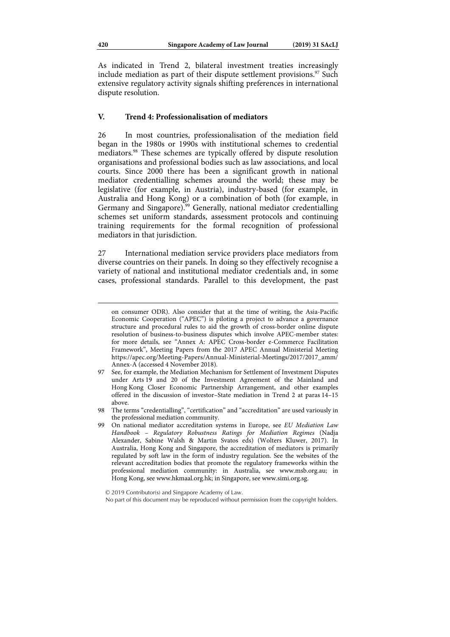As indicated in Trend 2, bilateral investment treaties increasingly include mediation as part of their dispute settlement provisions. $\frac{97}{12}$  Such extensive regulatory activity signals shifting preferences in international dispute resolution.

### **V. Trend 4: Professionalisation of mediators**

26 In most countries, professionalisation of the mediation field began in the 1980s or 1990s with institutional schemes to credential mediators.98 These schemes are typically offered by dispute resolution organisations and professional bodies such as law associations, and local courts. Since 2000 there has been a significant growth in national mediator credentialling schemes around the world; these may be legislative (for example, in Austria), industry-based (for example, in Australia and Hong Kong) or a combination of both (for example, in Germany and Singapore).<sup>99</sup> Generally, national mediator credentialling schemes set uniform standards, assessment protocols and continuing training requirements for the formal recognition of professional mediators in that jurisdiction.

27 International mediation service providers place mediators from diverse countries on their panels. In doing so they effectively recognise a variety of national and institutional mediator credentials and, in some cases, professional standards. Parallel to this development, the past

on consumer ODR). Also consider that at the time of writing, the Asia-Pacific Economic Cooperation ("APEC") is piloting a project to advance a governance structure and procedural rules to aid the growth of cross-border online dispute resolution of business-to-business disputes which involve APEC-member states: for more details, see "Annex A: APEC Cross-border e-Commerce Facilitation Framework", Meeting Papers from the 2017 APEC Annual Ministerial Meeting https://apec.org/Meeting-Papers/Annual-Ministerial-Meetings/2017/2017\_amm/ Annex-A (accessed 4 November 2018).

<sup>97</sup> See, for example, the Mediation Mechanism for Settlement of Investment Disputes under Arts 19 and 20 of the Investment Agreement of the Mainland and Hong Kong Closer Economic Partnership Arrangement, and other examples offered in the discussion of investor–State mediation in Trend 2 at paras 14–15 above.

<sup>98</sup> The terms "credentialling", "certification" and "accreditation" are used variously in the professional mediation community.

<sup>99</sup> On national mediator accreditation systems in Europe, see EU Mediation Law Handbook – Regulatory Robustness Ratings for Mediation Regimes (Nadja Alexander, Sabine Walsh & Martin Svatos eds) (Wolters Kluwer, 2017). In Australia, Hong Kong and Singapore, the accreditation of mediators is primarily regulated by soft law in the form of industry regulation. See the websites of the relevant accreditation bodies that promote the regulatory frameworks within the professional mediation community: in Australia, see www.msb.org.au; in Hong Kong, see www.hkmaal.org.hk; in Singapore, see www.simi.org.sg.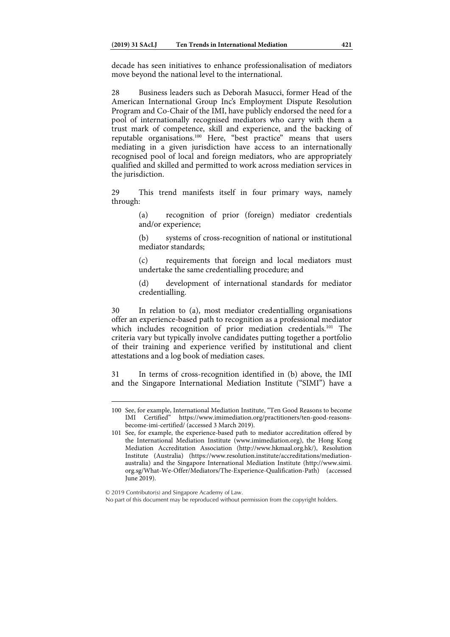decade has seen initiatives to enhance professionalisation of mediators move beyond the national level to the international.

28 Business leaders such as Deborah Masucci, former Head of the American International Group Inc's Employment Dispute Resolution Program and Co-Chair of the IMI, have publicly endorsed the need for a pool of internationally recognised mediators who carry with them a trust mark of competence, skill and experience, and the backing of reputable organisations.<sup>100</sup> Here, "best practice" means that users mediating in a given jurisdiction have access to an internationally recognised pool of local and foreign mediators, who are appropriately qualified and skilled and permitted to work across mediation services in the jurisdiction.

29 This trend manifests itself in four primary ways, namely through:

> (a) recognition of prior (foreign) mediator credentials and/or experience;

> (b) systems of cross-recognition of national or institutional mediator standards;

> (c) requirements that foreign and local mediators must undertake the same credentialling procedure; and

> (d) development of international standards for mediator credentialling.

30 In relation to (a), most mediator credentialling organisations offer an experience-based path to recognition as a professional mediator which includes recognition of prior mediation credentials.<sup>101</sup> The criteria vary but typically involve candidates putting together a portfolio of their training and experience verified by institutional and client attestations and a log book of mediation cases.

31 In terms of cross-recognition identified in (b) above, the IMI and the Singapore International Mediation Institute ("SIMI") have a

<sup>100</sup> See, for example, International Mediation Institute, "Ten Good Reasons to become IMI Certified" https://www.imimediation.org/practitioners/ten-good-reasonshttps://www.imimediation.org/practitioners/ten-good-reasonsbecome-imi-certified/ (accessed 3 March 2019).

<sup>101</sup> See, for example, the experience-based path to mediator accreditation offered by the International Mediation Institute (www.imimediation.org), the Hong Kong Mediation Accreditation Association (http://www.hkmaal.org.hk/), Resolution Institute (Australia) (https://www.resolution.institute/accreditations/mediationaustralia) and the Singapore International Mediation Institute (http://www.simi. org.sg/What-We-Offer/Mediators/The-Experience-Qualification-Path) (accessed June 2019).

No part of this document may be reproduced without permission from the copyright holders.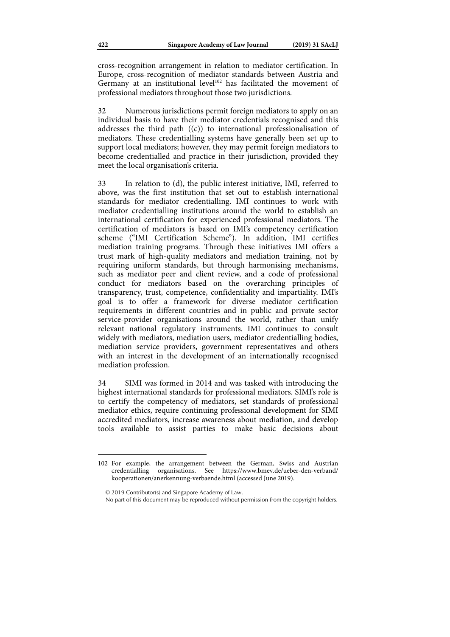cross-recognition arrangement in relation to mediator certification. In Europe, cross-recognition of mediator standards between Austria and Germany at an institutional level<sup>102</sup> has facilitated the movement of professional mediators throughout those two jurisdictions.

32 Numerous jurisdictions permit foreign mediators to apply on an individual basis to have their mediator credentials recognised and this addresses the third path ((c)) to international professionalisation of mediators. These credentialling systems have generally been set up to support local mediators; however, they may permit foreign mediators to become credentialled and practice in their jurisdiction, provided they meet the local organisation's criteria.

33 In relation to (d), the public interest initiative, IMI, referred to above, was the first institution that set out to establish international standards for mediator credentialling. IMI continues to work with mediator credentialling institutions around the world to establish an international certification for experienced professional mediators. The certification of mediators is based on IMI's competency certification scheme ("IMI Certification Scheme"). In addition, IMI certifies mediation training programs. Through these initiatives IMI offers a trust mark of high-quality mediators and mediation training, not by requiring uniform standards, but through harmonising mechanisms, such as mediator peer and client review, and a code of professional conduct for mediators based on the overarching principles of transparency, trust, competence, confidentiality and impartiality. IMI's goal is to offer a framework for diverse mediator certification requirements in different countries and in public and private sector service-provider organisations around the world, rather than unify relevant national regulatory instruments. IMI continues to consult widely with mediators, mediation users, mediator credentialling bodies, mediation service providers, government representatives and others with an interest in the development of an internationally recognised mediation profession.

34 SIMI was formed in 2014 and was tasked with introducing the highest international standards for professional mediators. SIMI's role is to certify the competency of mediators, set standards of professional mediator ethics, require continuing professional development for SIMI accredited mediators, increase awareness about mediation, and develop tools available to assist parties to make basic decisions about

© 2019 Contributor(s) and Singapore Academy of Law.

<sup>102</sup> For example, the arrangement between the German, Swiss and Austrian credentialling organisations. See https://www.bmev.de/ueber-den-verband/ kooperationen/anerkennung-verbaende.html (accessed June 2019).

No part of this document may be reproduced without permission from the copyright holders.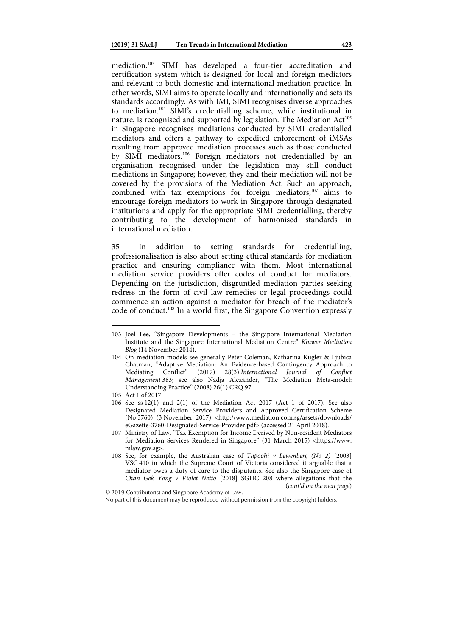mediation.103 SIMI has developed a four-tier accreditation and certification system which is designed for local and foreign mediators and relevant to both domestic and international mediation practice. In other words, SIMI aims to operate locally and internationally and sets its standards accordingly. As with IMI, SIMI recognises diverse approaches to mediation.104 SIMI's credentialling scheme, while institutional in nature, is recognised and supported by legislation. The Mediation Act<sup>105</sup> in Singapore recognises mediations conducted by SIMI credentialled mediators and offers a pathway to expedited enforcement of iMSAs resulting from approved mediation processes such as those conducted by SIMI mediators.106 Foreign mediators not credentialled by an organisation recognised under the legislation may still conduct mediations in Singapore; however, they and their mediation will not be covered by the provisions of the Mediation Act. Such an approach, combined with tax exemptions for foreign mediators, $107$  aims to encourage foreign mediators to work in Singapore through designated institutions and apply for the appropriate SIMI credentialling, thereby contributing to the development of harmonised standards in international mediation.

35 In addition to setting standards for credentialling, professionalisation is also about setting ethical standards for mediation practice and ensuring compliance with them. Most international mediation service providers offer codes of conduct for mediators. Depending on the jurisdiction, disgruntled mediation parties seeking redress in the form of civil law remedies or legal proceedings could commence an action against a mediator for breach of the mediator's code of conduct.108 In a world first, the Singapore Convention expressly

<sup>103</sup> Joel Lee, "Singapore Developments – the Singapore International Mediation Institute and the Singapore International Mediation Centre" Kluwer Mediation Blog (14 November 2014).

<sup>104</sup> On mediation models see generally Peter Coleman, Katharina Kugler & Ljubica Chatman, "Adaptive Mediation: An Evidence-based Contingency Approach to Mediating Conflict" (2017) 28(3) International Journal of Conflict Mediating Conflict" (2017) 28(3) International Journal of Conflict Management 383; see also Nadja Alexander, "The Mediation Meta-model: Understanding Practice" (2008) 26(1) CRQ 97.

<sup>105</sup> Act 1 of 2017.

<sup>106</sup> See ss 12(1) and 2(1) of the Mediation Act 2017 (Act 1 of 2017). See also Designated Mediation Service Providers and Approved Certification Scheme (No 3760) (3 November 2017) <http://www.mediation.com.sg/assets/downloads/ eGazette-3760-Designated-Service-Provider.pdf> (accessed 21 April 2018).

<sup>107</sup> Ministry of Law, "Tax Exemption for Income Derived by Non-resident Mediators for Mediation Services Rendered in Singapore" (31 March 2015) <https://www. mlaw.gov.sg>.

<sup>108</sup> See, for example, the Australian case of Tapoohi v Lewenberg (No 2) [2003] VSC 410 in which the Supreme Court of Victoria considered it arguable that a mediator owes a duty of care to the disputants. See also the Singapore case of Chan Gek Yong v Violet Netto [2018] SGHC 208 where allegations that the (cont'd on the next page)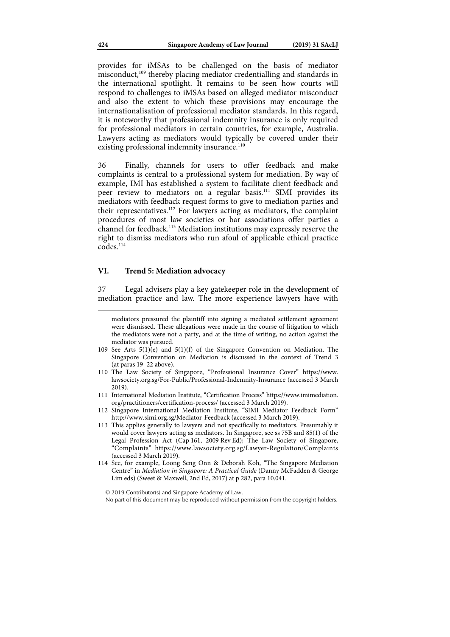provides for iMSAs to be challenged on the basis of mediator misconduct,<sup>109</sup> thereby placing mediator credentialling and standards in the international spotlight. It remains to be seen how courts will respond to challenges to iMSAs based on alleged mediator misconduct and also the extent to which these provisions may encourage the internationalisation of professional mediator standards. In this regard, it is noteworthy that professional indemnity insurance is only required for professional mediators in certain countries, for example, Australia. Lawyers acting as mediators would typically be covered under their existing professional indemnity insurance.<sup>110</sup>

36 Finally, channels for users to offer feedback and make complaints is central to a professional system for mediation. By way of example, IMI has established a system to facilitate client feedback and peer review to mediators on a regular basis.111 SIMI provides its mediators with feedback request forms to give to mediation parties and their representatives.<sup>112</sup> For lawyers acting as mediators, the complaint procedures of most law societies or bar associations offer parties a channel for feedback.113 Mediation institutions may expressly reserve the right to dismiss mediators who run afoul of applicable ethical practice  $codes$ <sup> $114$ </sup>

### **VI. Trend 5: Mediation advocacy**

37 Legal advisers play a key gatekeeper role in the development of mediation practice and law. The more experience lawyers have with

mediators pressured the plaintiff into signing a mediated settlement agreement were dismissed. These allegations were made in the course of litigation to which the mediators were not a party, and at the time of writing, no action against the mediator was pursued.

- 109 See Arts 5(1)(e) and 5(1)(f) of the Singapore Convention on Mediation. The Singapore Convention on Mediation is discussed in the context of Trend 3 (at paras 19–22 above).
- 110 The Law Society of Singapore, "Professional Insurance Cover" https://www. lawsociety.org.sg/For-Public/Professional-Indemnity-Insurance (accessed 3 March 2019).
- 111 International Mediation Institute, "Certification Process" https://www.imimediation. org/practitioners/certification-process/ (accessed 3 March 2019).
- 112 Singapore International Mediation Institute, "SIMI Mediator Feedback Form" http://www.simi.org.sg/Mediator-Feedback (accessed 3 March 2019).
- 113 This applies generally to lawyers and not specifically to mediators. Presumably it would cover lawyers acting as mediators. In Singapore, see ss 75B and 85(1) of the Legal Profession Act (Cap 161, 2009 Rev Ed); The Law Society of Singapore, "Complaints" https://www.lawsociety.org.sg/Lawyer-Regulation/Complaints (accessed 3 March 2019).
- 114 See, for example, Loong Seng Onn & Deborah Koh, "The Singapore Mediation Centre" in Mediation in Singapore: A Practical Guide (Danny McFadden & George Lim eds) (Sweet & Maxwell, 2nd Ed, 2017) at p 282, para 10.041.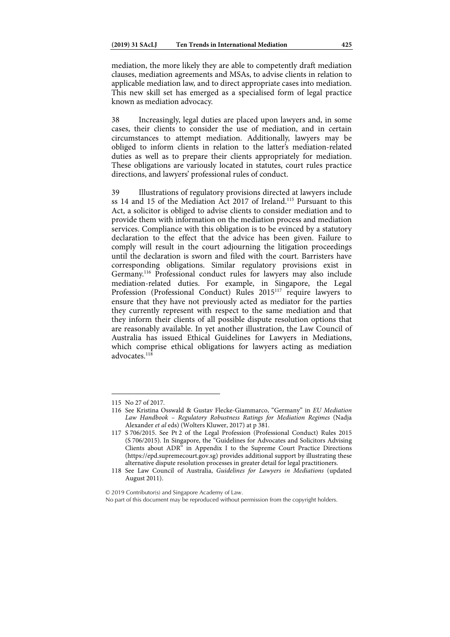mediation, the more likely they are able to competently draft mediation clauses, mediation agreements and MSAs, to advise clients in relation to applicable mediation law, and to direct appropriate cases into mediation. This new skill set has emerged as a specialised form of legal practice known as mediation advocacy.

38 Increasingly, legal duties are placed upon lawyers and, in some cases, their clients to consider the use of mediation, and in certain circumstances to attempt mediation. Additionally, lawyers may be obliged to inform clients in relation to the latter's mediation-related duties as well as to prepare their clients appropriately for mediation. These obligations are variously located in statutes, court rules practice directions, and lawyers' professional rules of conduct.

39 Illustrations of regulatory provisions directed at lawyers include ss 14 and 15 of the Mediation Act 2017 of Ireland.<sup>115</sup> Pursuant to this Act, a solicitor is obliged to advise clients to consider mediation and to provide them with information on the mediation process and mediation services. Compliance with this obligation is to be evinced by a statutory declaration to the effect that the advice has been given. Failure to comply will result in the court adjourning the litigation proceedings until the declaration is sworn and filed with the court. Barristers have corresponding obligations. Similar regulatory provisions exist in Germany.116 Professional conduct rules for lawyers may also include mediation-related duties. For example, in Singapore, the Legal Profession (Professional Conduct) Rules 2015<sup>117</sup> require lawyers to ensure that they have not previously acted as mediator for the parties they currently represent with respect to the same mediation and that they inform their clients of all possible dispute resolution options that are reasonably available. In yet another illustration, the Law Council of Australia has issued Ethical Guidelines for Lawyers in Mediations, which comprise ethical obligations for lawyers acting as mediation advocates.<sup>118</sup>

1

© 2019 Contributor(s) and Singapore Academy of Law.

No part of this document may be reproduced without permission from the copyright holders.

<sup>115</sup> No 27 of 2017.

<sup>116</sup> See Kristina Osswald & Gustav Flecke-Giammarco, "Germany" in EU Mediation Law Handbook – Regulatory Robustness Ratings for Mediation Regimes (Nadja Alexander et al eds) (Wolters Kluwer, 2017) at p 381.

<sup>117</sup> S 706/2015. See Pt 2 of the Legal Profession (Professional Conduct) Rules 2015 (S 706/2015). In Singapore, the "Guidelines for Advocates and Solicitors Advising Clients about ADR" in Appendix I to the Supreme Court Practice Directions (https://epd.supremecourt.gov.sg) provides additional support by illustrating these alternative dispute resolution processes in greater detail for legal practitioners.

<sup>118</sup> See Law Council of Australia, Guidelines for Lawyers in Mediations (updated August 2011).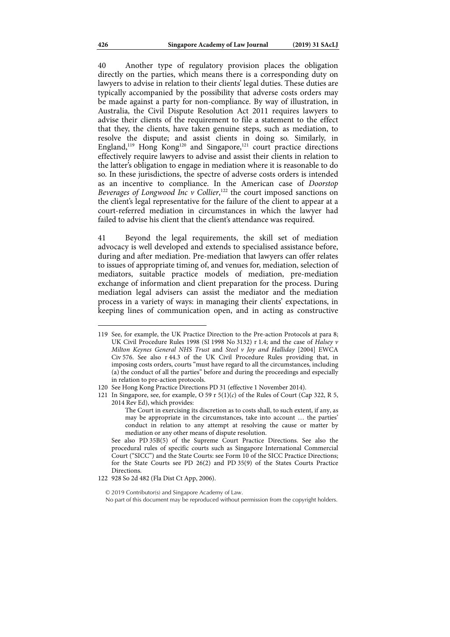40 Another type of regulatory provision places the obligation directly on the parties, which means there is a corresponding duty on lawyers to advise in relation to their clients' legal duties. These duties are typically accompanied by the possibility that adverse costs orders may be made against a party for non-compliance. By way of illustration, in Australia, the Civil Dispute Resolution Act 2011 requires lawyers to advise their clients of the requirement to file a statement to the effect that they, the clients, have taken genuine steps, such as mediation, to resolve the dispute; and assist clients in doing so. Similarly, in England,<sup>119</sup> Hong Kong<sup>120</sup> and Singapore,<sup>121</sup> court practice directions effectively require lawyers to advise and assist their clients in relation to the latter's obligation to engage in mediation where it is reasonable to do so. In these jurisdictions, the spectre of adverse costs orders is intended as an incentive to compliance. In the American case of Doorstop Beverages of Longwood Inc  $v$  Collier,  $122$  the court imposed sanctions on the client's legal representative for the failure of the client to appear at a court-referred mediation in circumstances in which the lawyer had failed to advise his client that the client's attendance was required.

41 Beyond the legal requirements, the skill set of mediation advocacy is well developed and extends to specialised assistance before, during and after mediation. Pre-mediation that lawyers can offer relates to issues of appropriate timing of, and venues for, mediation, selection of mediators, suitable practice models of mediation, pre-mediation exchange of information and client preparation for the process. During mediation legal advisers can assist the mediator and the mediation process in a variety of ways: in managing their clients' expectations, in keeping lines of communication open, and in acting as constructive

<sup>119</sup> See, for example, the UK Practice Direction to the Pre-action Protocols at para 8; UK Civil Procedure Rules 1998 (SI 1998 No 3132) r 1.4; and the case of Halsey v Milton Keynes General NHS Trust and Steel v Joy and Halliday [2004] EWCA Civ 576. See also r 44.3 of the UK Civil Procedure Rules providing that, in imposing costs orders, courts "must have regard to all the circumstances, including (a) the conduct of all the parties" before and during the proceedings and especially in relation to pre-action protocols.

<sup>120</sup> See Hong Kong Practice Directions PD 31 (effective 1 November 2014).

<sup>121</sup> In Singapore, see, for example, O 59 r  $5(1)(c)$  of the Rules of Court (Cap 322, R 5, 2014 Rev Ed), which provides:

The Court in exercising its discretion as to costs shall, to such extent, if any, as may be appropriate in the circumstances, take into account … the parties' conduct in relation to any attempt at resolving the cause or matter by mediation or any other means of dispute resolution.

See also PD 35B(5) of the Supreme Court Practice Directions. See also the procedural rules of specific courts such as Singapore International Commercial Court ("SICC") and the State Courts: see Form 10 of the SICC Practice Directions; for the State Courts see PD 26(2) and PD 35(9) of the States Courts Practice Directions.

<sup>122 928</sup> So 2d 482 (Fla Dist Ct App, 2006).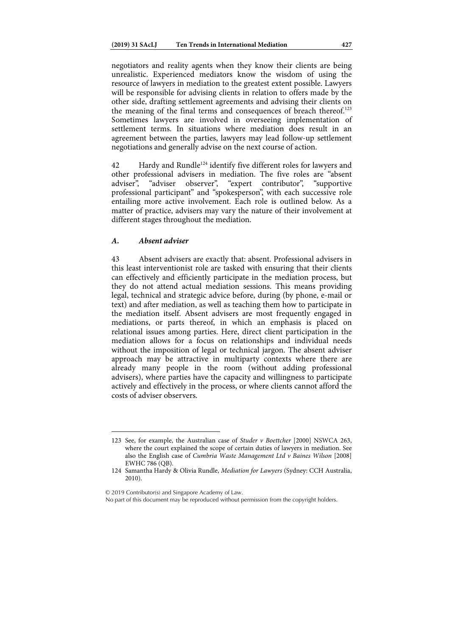negotiators and reality agents when they know their clients are being unrealistic. Experienced mediators know the wisdom of using the resource of lawyers in mediation to the greatest extent possible. Lawyers will be responsible for advising clients in relation to offers made by the other side, drafting settlement agreements and advising their clients on the meaning of the final terms and consequences of breach thereof.<sup>123</sup> Sometimes lawyers are involved in overseeing implementation of settlement terms. In situations where mediation does result in an agreement between the parties, lawyers may lead follow-up settlement negotiations and generally advise on the next course of action.

42 Hardy and Rundle<sup>124</sup> identify five different roles for lawyers and other professional advisers in mediation. The five roles are "absent adviser", "adviser observer", "expert contributor", "supportive adviser", "adviser observer", "expert contributor", "supportive professional participant" and "spokesperson", with each successive role entailing more active involvement. Each role is outlined below. As a matter of practice, advisers may vary the nature of their involvement at different stages throughout the mediation.

# *A. Absent adviser*

43 Absent advisers are exactly that: absent. Professional advisers in this least interventionist role are tasked with ensuring that their clients can effectively and efficiently participate in the mediation process, but they do not attend actual mediation sessions. This means providing legal, technical and strategic advice before, during (by phone, e-mail or text) and after mediation, as well as teaching them how to participate in the mediation itself. Absent advisers are most frequently engaged in mediations, or parts thereof, in which an emphasis is placed on relational issues among parties. Here, direct client participation in the mediation allows for a focus on relationships and individual needs without the imposition of legal or technical jargon. The absent adviser approach may be attractive in multiparty contexts where there are already many people in the room (without adding professional advisers), where parties have the capacity and willingness to participate actively and effectively in the process, or where clients cannot afford the costs of adviser observers.

© 2019 Contributor(s) and Singapore Academy of Law.

<sup>123</sup> See, for example, the Australian case of Studer v Boettcher [2000] NSWCA 263, where the court explained the scope of certain duties of lawyers in mediation. See also the English case of Cumbria Waste Management Ltd v Baines Wilson [2008] EWHC 786 (QB).

<sup>124</sup> Samantha Hardy & Olivia Rundle, Mediation for Lawyers (Sydney: CCH Australia, 2010).

No part of this document may be reproduced without permission from the copyright holders.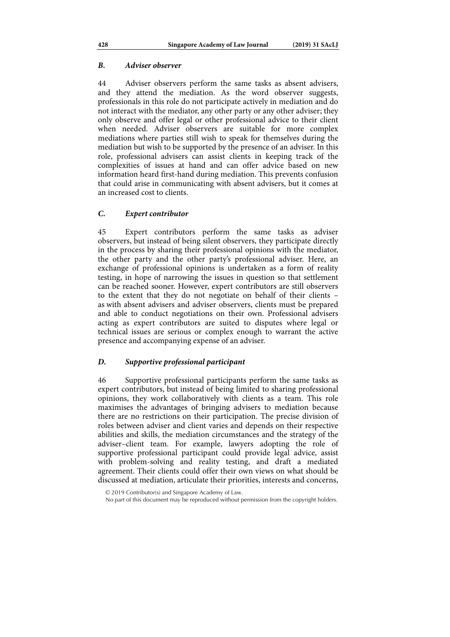## *B. Adviser observer*

44 Adviser observers perform the same tasks as absent advisers, and they attend the mediation. As the word observer suggests, professionals in this role do not participate actively in mediation and do not interact with the mediator, any other party or any other adviser; they only observe and offer legal or other professional advice to their client when needed. Adviser observers are suitable for more complex mediations where parties still wish to speak for themselves during the mediation but wish to be supported by the presence of an adviser. In this role, professional advisers can assist clients in keeping track of the complexities of issues at hand and can offer advice based on new information heard first-hand during mediation. This prevents confusion that could arise in communicating with absent advisers, but it comes at an increased cost to clients.

## *C. Expert contributor*

45 Expert contributors perform the same tasks as adviser observers, but instead of being silent observers, they participate directly in the process by sharing their professional opinions with the mediator, the other party and the other party's professional adviser. Here, an exchange of professional opinions is undertaken as a form of reality testing, in hope of narrowing the issues in question so that settlement can be reached sooner. However, expert contributors are still observers to the extent that they do not negotiate on behalf of their clients – as with absent advisers and adviser observers, clients must be prepared and able to conduct negotiations on their own. Professional advisers acting as expert contributors are suited to disputes where legal or technical issues are serious or complex enough to warrant the active presence and accompanying expense of an adviser.

# *D. Supportive professional participant*

46 Supportive professional participants perform the same tasks as expert contributors, but instead of being limited to sharing professional opinions, they work collaboratively with clients as a team. This role maximises the advantages of bringing advisers to mediation because there are no restrictions on their participation. The precise division of roles between adviser and client varies and depends on their respective abilities and skills, the mediation circumstances and the strategy of the adviser–client team. For example, lawyers adopting the role of supportive professional participant could provide legal advice, assist with problem-solving and reality testing, and draft a mediated agreement. Their clients could offer their own views on what should be discussed at mediation, articulate their priorities, interests and concerns,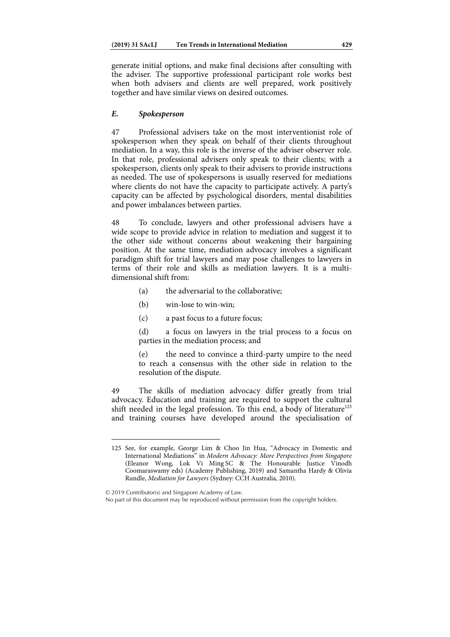generate initial options, and make final decisions after consulting with the adviser. The supportive professional participant role works best when both advisers and clients are well prepared, work positively together and have similar views on desired outcomes.

# *E. Spokesperson*

47 Professional advisers take on the most interventionist role of spokesperson when they speak on behalf of their clients throughout mediation. In a way, this role is the inverse of the adviser observer role. In that role, professional advisers only speak to their clients; with a spokesperson, clients only speak to their advisers to provide instructions as needed. The use of spokespersons is usually reserved for mediations where clients do not have the capacity to participate actively. A party's capacity can be affected by psychological disorders, mental disabilities and power imbalances between parties.

48 To conclude, lawyers and other professional advisers have a wide scope to provide advice in relation to mediation and suggest it to the other side without concerns about weakening their bargaining position. At the same time, mediation advocacy involves a significant paradigm shift for trial lawyers and may pose challenges to lawyers in terms of their role and skills as mediation lawyers. It is a multidimensional shift from:

- (a) the adversarial to the collaborative;
- (b) win-lose to win-win;
- (c) a past focus to a future focus;

(d) a focus on lawyers in the trial process to a focus on parties in the mediation process; and

(e) the need to convince a third-party umpire to the need to reach a consensus with the other side in relation to the resolution of the dispute.

49 The skills of mediation advocacy differ greatly from trial advocacy. Education and training are required to support the cultural shift needed in the legal profession. To this end, a body of literature<sup>125</sup> and training courses have developed around the specialisation of

© 2019 Contributor(s) and Singapore Academy of Law.

1

No part of this document may be reproduced without permission from the copyright holders.

<sup>125</sup> See, for example, George Lim & Choo Jin Hua, "Advocacy in Domestic and International Mediations" in Modern Advocacy: More Perspectives from Singapore (Eleanor Wong, Lok Vi Ming SC & The Honourable Justice Vinodh Coomaraswamy eds) (Academy Publishing, 2019) and Samantha Hardy & Olivia Rundle, Mediation for Lawyers (Sydney: CCH Australia, 2010).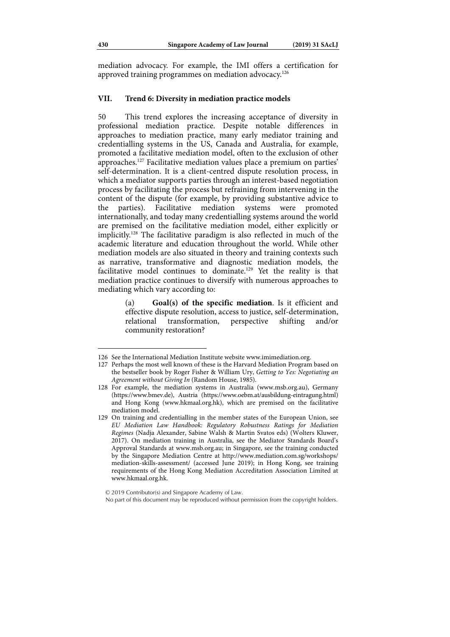mediation advocacy. For example, the IMI offers a certification for approved training programmes on mediation advocacy.126

### **VII. Trend 6: Diversity in mediation practice models**

50 This trend explores the increasing acceptance of diversity in professional mediation practice. Despite notable differences in approaches to mediation practice, many early mediator training and credentialling systems in the US, Canada and Australia, for example, promoted a facilitative mediation model, often to the exclusion of other approaches.127 Facilitative mediation values place a premium on parties' self-determination. It is a client-centred dispute resolution process, in which a mediator supports parties through an interest-based negotiation process by facilitating the process but refraining from intervening in the content of the dispute (for example, by providing substantive advice to the parties). Facilitative mediation systems were promoted internationally, and today many credentialling systems around the world are premised on the facilitative mediation model, either explicitly or implicitly.128 The facilitative paradigm is also reflected in much of the academic literature and education throughout the world. While other mediation models are also situated in theory and training contexts such as narrative, transformative and diagnostic mediation models, the facilitative model continues to dominate.129 Yet the reality is that mediation practice continues to diversify with numerous approaches to mediating which vary according to:

> (a) **Goal(s) of the specific mediation**. Is it efficient and effective dispute resolution, access to justice, self-determination, relational transformation, perspective shifting and/or community restoration?

<sup>126</sup> See the International Mediation Institute website www.imimediation.org.

<sup>127</sup> Perhaps the most well known of these is the Harvard Mediation Program based on the bestseller book by Roger Fisher & William Ury, Getting to Yes: Negotiating an Agreement without Giving In (Random House, 1985).

<sup>128</sup> For example, the mediation systems in Australia (www.msb.org.au), Germany (https://www.bmev.de), Austria (https://www.oebm.at/ausbildung-eintragung.html) and Hong Kong (www.hkmaal.org.hk), which are premised on the facilitative mediation model.

<sup>129</sup> On training and credentialling in the member states of the European Union, see EU Mediation Law Handbook: Regulatory Robustness Ratings for Mediation Regimes (Nadja Alexander, Sabine Walsh & Martin Svatos eds) (Wolters Kluwer, 2017). On mediation training in Australia, see the Mediator Standards Board's Approval Standards at www.msb.org.au; in Singapore, see the training conducted by the Singapore Mediation Centre at http://www.mediation.com.sg/workshops/ mediation-skills-assessment/ (accessed June 2019); in Hong Kong, see training requirements of the Hong Kong Mediation Accreditation Association Limited at www.hkmaal.org.hk.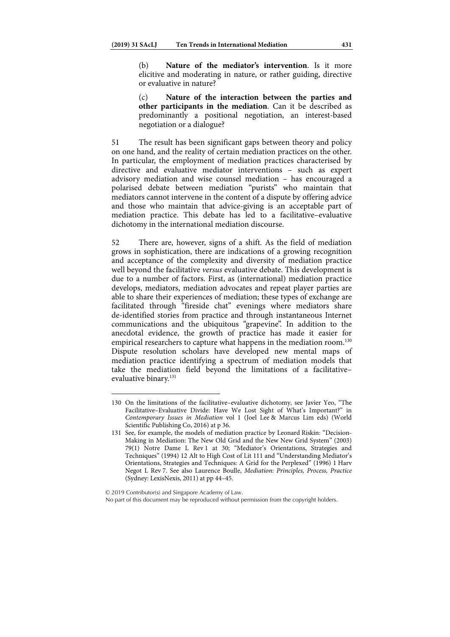(b) **Nature of the mediator's intervention**. Is it more elicitive and moderating in nature, or rather guiding, directive or evaluative in nature?

(c) **Nature of the interaction between the parties and other participants in the mediation**. Can it be described as predominantly a positional negotiation, an interest-based negotiation or a dialogue?

51 The result has been significant gaps between theory and policy on one hand, and the reality of certain mediation practices on the other. In particular, the employment of mediation practices characterised by directive and evaluative mediator interventions – such as expert advisory mediation and wise counsel mediation – has encouraged a polarised debate between mediation "purists" who maintain that mediators cannot intervene in the content of a dispute by offering advice and those who maintain that advice-giving is an acceptable part of mediation practice. This debate has led to a facilitative–evaluative dichotomy in the international mediation discourse.

52 There are, however, signs of a shift. As the field of mediation grows in sophistication, there are indications of a growing recognition and acceptance of the complexity and diversity of mediation practice well beyond the facilitative versus evaluative debate. This development is due to a number of factors. First, as (international) mediation practice develops, mediators, mediation advocates and repeat player parties are able to share their experiences of mediation; these types of exchange are facilitated through "fireside chat" evenings where mediators share de-identified stories from practice and through instantaneous Internet communications and the ubiquitous "grapevine". In addition to the anecdotal evidence, the growth of practice has made it easier for empirical researchers to capture what happens in the mediation room.<sup>130</sup> Dispute resolution scholars have developed new mental maps of mediation practice identifying a spectrum of mediation models that take the mediation field beyond the limitations of a facilitative– evaluative binary.<sup>131</sup>

© 2019 Contributor(s) and Singapore Academy of Law.

1

No part of this document may be reproduced without permission from the copyright holders.

<sup>130</sup> On the limitations of the facilitative–evaluative dichotomy, see Javier Yeo, "The Facilitative–Evaluative Divide: Have We Lost Sight of What's Important?" in Contemporary Issues in Mediation vol 1 (Joel Lee & Marcus Lim eds) (World Scientific Publishing Co, 2016) at p 36.

<sup>131</sup> See, for example, the models of mediation practice by Leonard Riskin: "Decision-Making in Mediation: The New Old Grid and the New New Grid System" (2003) 79(1) Notre Dame L Rev 1 at 30; "Mediator's Orientations, Strategies and Techniques" (1994) 12 Alt to High Cost of Lit 111 and "Understanding Mediator's Orientations, Strategies and Techniques: A Grid for the Perplexed" (1996) 1 Harv Negot L Rev 7. See also Laurence Boulle, Mediation: Principles, Process, Practice (Sydney: LexisNexis, 2011) at pp 44–45.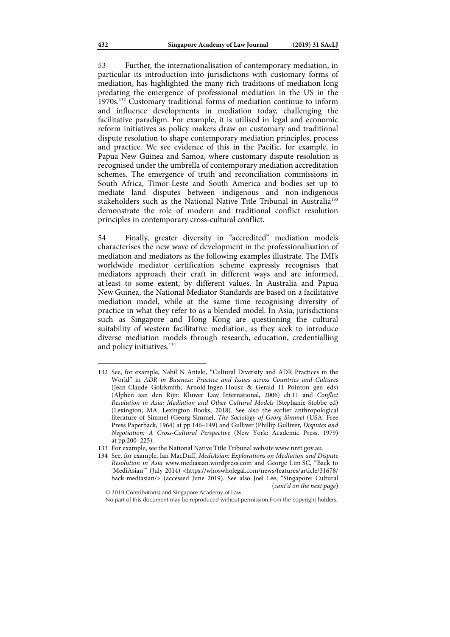53 Further, the internationalisation of contemporary mediation, in particular its introduction into jurisdictions with customary forms of mediation, has highlighted the many rich traditions of mediation long predating the emergence of professional mediation in the US in the 1970s.132 Customary traditional forms of mediation continue to inform and influence developments in mediation today, challenging the facilitative paradigm. For example, it is utilised in legal and economic reform initiatives as policy makers draw on customary and traditional dispute resolution to shape contemporary mediation principles, process and practice. We see evidence of this in the Pacific, for example, in Papua New Guinea and Samoa, where customary dispute resolution is recognised under the umbrella of contemporary mediation accreditation schemes. The emergence of truth and reconciliation commissions in South Africa, Timor-Leste and South America and bodies set up to mediate land disputes between indigenous and non-indigenous stakeholders such as the National Native Title Tribunal in Australia<sup>133</sup> demonstrate the role of modern and traditional conflict resolution principles in contemporary cross-cultural conflict.

54 Finally, greater diversity in "accredited" mediation models characterises the new wave of development in the professionalisation of mediation and mediators as the following examples illustrate. The IMI's worldwide mediator certification scheme expressly recognises that mediators approach their craft in different ways and are informed, at least to some extent, by different values. In Australia and Papua New Guinea, the National Mediator Standards are based on a facilitative mediation model, while at the same time recognising diversity of practice in what they refer to as a blended model. In Asia, jurisdictions such as Singapore and Hong Kong are questioning the cultural suitability of western facilitative mediation, as they seek to introduce diverse mediation models through research, education, credentialling and policy initiatives.<sup>134</sup>

134 See, for example, Ian MacDuff, MediAsian: Explorations on Mediation and Dispute Resolution in Asia www.mediasian.wordpress.com and George Lim SC, "Back to 'MediAsian'" (July 2014) <https://whoswholegal.com/news/features/article/31678/ back-mediasian/> (accessed June 2019). See also Joel Lee, "Singapore: Cultural (cont'd on the next page)

1

© 2019 Contributor(s) and Singapore Academy of Law. No part of this document may be reproduced without permission from the copyright holders.

<sup>132</sup> See, for example, Nabil N Antaki, "Cultural Diversity and ADR Practices in the World" in ADR in Business: Practice and Issues across Countries and Cultures (Jean-Claude Goldsmith, Arnold Ingen-Housz & Gerald H Pointon gen eds) (Alphen aan den Rijn: Kluwer Law International, 2006) ch 11 and Conflict Resolution in Asia: Mediation and Other Cultural Models (Stephanie Stobbe ed) (Lexington, MA: Lexington Books, 2018). See also the earlier anthropological literature of Simmel (Georg Simmel, The Sociology of Georg Simmel (USA: Free Press Paperback, 1964) at pp 146–149) and Gulliver (Phillip Gulliver, Disputes and Negotiation: A Cross-Cultural Perspective (New York: Academic Press, 1979) at pp 200–225).

<sup>133</sup> For example, see the National Native Title Tribunal website www.nntt.gov.au.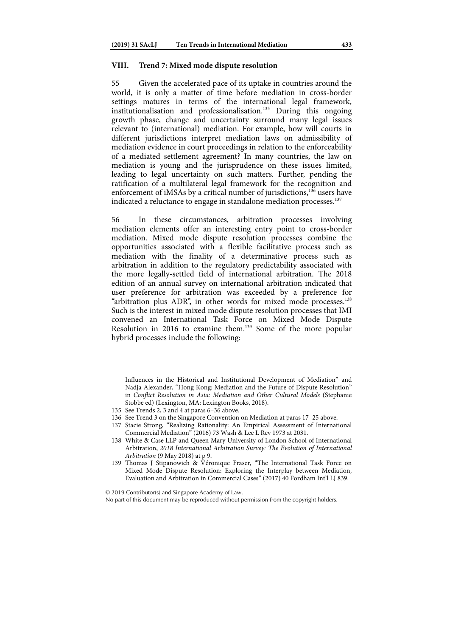## **VIII. Trend 7: Mixed mode dispute resolution**

55 Given the accelerated pace of its uptake in countries around the world, it is only a matter of time before mediation in cross-border settings matures in terms of the international legal framework, institutionalisation and professionalisation.<sup>135</sup> During this ongoing growth phase, change and uncertainty surround many legal issues relevant to (international) mediation. For example, how will courts in different jurisdictions interpret mediation laws on admissibility of mediation evidence in court proceedings in relation to the enforceability of a mediated settlement agreement? In many countries, the law on mediation is young and the jurisprudence on these issues limited, leading to legal uncertainty on such matters. Further, pending the ratification of a multilateral legal framework for the recognition and enforcement of iMSAs by a critical number of jurisdictions,<sup>136</sup> users have indicated a reluctance to engage in standalone mediation processes.<sup>137</sup>

56 In these circumstances, arbitration processes involving mediation elements offer an interesting entry point to cross-border mediation. Mixed mode dispute resolution processes combine the opportunities associated with a flexible facilitative process such as mediation with the finality of a determinative process such as arbitration in addition to the regulatory predictability associated with the more legally-settled field of international arbitration. The 2018 edition of an annual survey on international arbitration indicated that user preference for arbitration was exceeded by a preference for "arbitration plus ADR", in other words for mixed mode processes.<sup>138</sup> Such is the interest in mixed mode dispute resolution processes that IMI convened an International Task Force on Mixed Mode Dispute Resolution in 2016 to examine them.139 Some of the more popular hybrid processes include the following:

Influences in the Historical and Institutional Development of Mediation" and Nadja Alexander, "Hong Kong: Mediation and the Future of Dispute Resolution" in Conflict Resolution in Asia: Mediation and Other Cultural Models (Stephanie Stobbe ed) (Lexington, MA: Lexington Books, 2018).

1

© 2019 Contributor(s) and Singapore Academy of Law.

<sup>135</sup> See Trends 2, 3 and 4 at paras 6–36 above.

<sup>136</sup> See Trend 3 on the Singapore Convention on Mediation at paras 17–25 above.

<sup>137</sup> Stacie Strong, "Realizing Rationality: An Empirical Assessment of International Commercial Mediation" (2016) 73 Wash & Lee L Rev 1973 at 2031.

<sup>138</sup> White & Case LLP and Queen Mary University of London School of International Arbitration, 2018 International Arbitration Survey: The Evolution of International Arbitration (9 May 2018) at p 9.

<sup>139</sup> Thomas J Stipanowich & Véronique Fraser, "The International Task Force on Mixed Mode Dispute Resolution: Exploring the Interplay between Mediation, Evaluation and Arbitration in Commercial Cases" (2017) 40 Fordham Int'l LJ 839.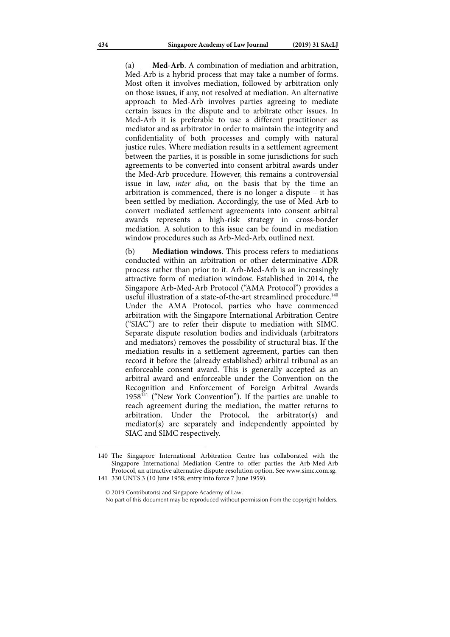(a) **Med-Arb**. A combination of mediation and arbitration, Med-Arb is a hybrid process that may take a number of forms. Most often it involves mediation, followed by arbitration only on those issues, if any, not resolved at mediation. An alternative approach to Med-Arb involves parties agreeing to mediate certain issues in the dispute and to arbitrate other issues. In Med-Arb it is preferable to use a different practitioner as mediator and as arbitrator in order to maintain the integrity and confidentiality of both processes and comply with natural justice rules. Where mediation results in a settlement agreement between the parties, it is possible in some jurisdictions for such agreements to be converted into consent arbitral awards under the Med-Arb procedure. However, this remains a controversial issue in law, *inter alia*, on the basis that by the time an arbitration is commenced, there is no longer a dispute – it has been settled by mediation. Accordingly, the use of Med-Arb to convert mediated settlement agreements into consent arbitral awards represents a high-risk strategy in cross-border mediation. A solution to this issue can be found in mediation window procedures such as Arb-Med-Arb, outlined next.

(b) **Mediation windows**. This process refers to mediations conducted within an arbitration or other determinative ADR process rather than prior to it. Arb-Med-Arb is an increasingly attractive form of mediation window. Established in 2014, the Singapore Arb-Med-Arb Protocol ("AMA Protocol") provides a useful illustration of a state-of-the-art streamlined procedure.<sup>140</sup> Under the AMA Protocol, parties who have commenced arbitration with the Singapore International Arbitration Centre ("SIAC") are to refer their dispute to mediation with SIMC. Separate dispute resolution bodies and individuals (arbitrators and mediators) removes the possibility of structural bias. If the mediation results in a settlement agreement, parties can then record it before the (already established) arbitral tribunal as an enforceable consent award. This is generally accepted as an arbitral award and enforceable under the Convention on the Recognition and Enforcement of Foreign Arbitral Awards  $1958<sup>141</sup>$  ("New York Convention"). If the parties are unable to reach agreement during the mediation, the matter returns to arbitration. Under the Protocol, the arbitrator(s) and mediator(s) are separately and independently appointed by SIAC and SIMC respectively.

<sup>140</sup> The Singapore International Arbitration Centre has collaborated with the Singapore International Mediation Centre to offer parties the Arb-Med-Arb Protocol, an attractive alternative dispute resolution option. See www.simc.com.sg. 141 330 UNTS 3 (10 June 1958; entry into force 7 June 1959).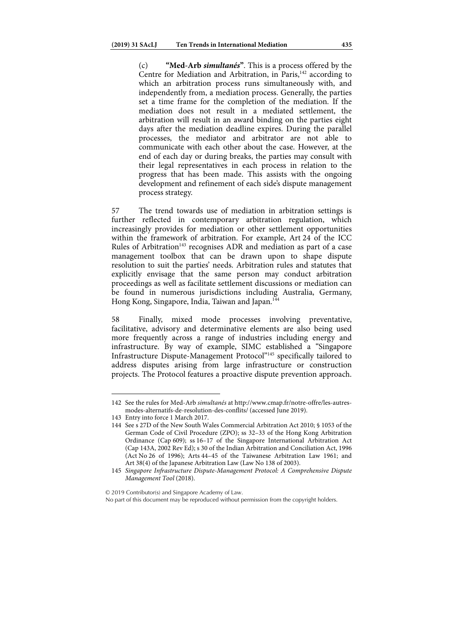(c) **"Med-Arb** *simultanés***"**. This is a process offered by the Centre for Mediation and Arbitration, in Paris, $142$  according to which an arbitration process runs simultaneously with, and independently from, a mediation process. Generally, the parties set a time frame for the completion of the mediation. If the mediation does not result in a mediated settlement, the arbitration will result in an award binding on the parties eight days after the mediation deadline expires. During the parallel processes, the mediator and arbitrator are not able to communicate with each other about the case. However, at the end of each day or during breaks, the parties may consult with their legal representatives in each process in relation to the progress that has been made. This assists with the ongoing development and refinement of each side's dispute management process strategy.

57 The trend towards use of mediation in arbitration settings is further reflected in contemporary arbitration regulation, which increasingly provides for mediation or other settlement opportunities within the framework of arbitration. For example, Art 24 of the ICC Rules of Arbitration<sup>143</sup> recognises ADR and mediation as part of a case management toolbox that can be drawn upon to shape dispute resolution to suit the parties' needs. Arbitration rules and statutes that explicitly envisage that the same person may conduct arbitration proceedings as well as facilitate settlement discussions or mediation can be found in numerous jurisdictions including Australia, Germany, Hong Kong, Singapore, India, Taiwan and Japan.<sup>144</sup>

58 Finally, mixed mode processes involving preventative, facilitative, advisory and determinative elements are also being used more frequently across a range of industries including energy and infrastructure. By way of example, SIMC established a "Singapore Infrastructure Dispute-Management Protocol"145 specifically tailored to address disputes arising from large infrastructure or construction projects. The Protocol features a proactive dispute prevention approach.

1

© 2019 Contributor(s) and Singapore Academy of Law.

No part of this document may be reproduced without permission from the copyright holders.

<sup>142</sup> See the rules for Med-Arb simultanés at http://www.cmap.fr/notre-offre/les-autresmodes-alternatifs-de-resolution-des-conflits/ (accessed June 2019).

<sup>143</sup> Entry into force 1 March 2017.

<sup>144</sup> See s 27D of the New South Wales Commercial Arbitration Act 2010; § 1053 of the German Code of Civil Procedure (ZPO); ss 32–33 of the Hong Kong Arbitration Ordinance (Cap 609); ss 16–17 of the Singapore International Arbitration Act (Cap 143A, 2002 Rev Ed); s 30 of the Indian Arbitration and Conciliation Act, 1996 (Act No 26 of 1996); Arts 44–45 of the Taiwanese Arbitration Law 1961; and Art 38(4) of the Japanese Arbitration Law (Law No 138 of 2003).

<sup>145</sup> Singapore Infrastructure Dispute-Management Protocol: A Comprehensive Dispute Management Tool (2018).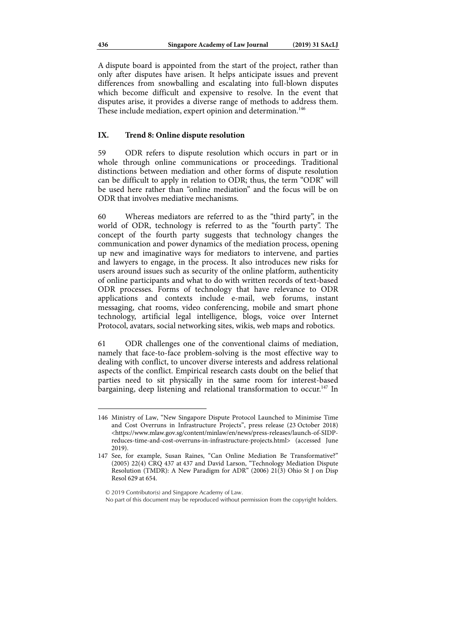A dispute board is appointed from the start of the project, rather than only after disputes have arisen. It helps anticipate issues and prevent differences from snowballing and escalating into full-blown disputes which become difficult and expensive to resolve. In the event that disputes arise, it provides a diverse range of methods to address them. These include mediation, expert opinion and determination.<sup>146</sup>

### **IX. Trend 8: Online dispute resolution**

59 ODR refers to dispute resolution which occurs in part or in whole through online communications or proceedings. Traditional distinctions between mediation and other forms of dispute resolution can be difficult to apply in relation to ODR; thus, the term "ODR" will be used here rather than "online mediation" and the focus will be on ODR that involves mediative mechanisms.

60 Whereas mediators are referred to as the "third party", in the world of ODR, technology is referred to as the "fourth party". The concept of the fourth party suggests that technology changes the communication and power dynamics of the mediation process, opening up new and imaginative ways for mediators to intervene, and parties and lawyers to engage, in the process. It also introduces new risks for users around issues such as security of the online platform, authenticity of online participants and what to do with written records of text-based ODR processes. Forms of technology that have relevance to ODR applications and contexts include e-mail, web forums, instant messaging, chat rooms, video conferencing, mobile and smart phone technology, artificial legal intelligence, blogs, voice over Internet Protocol, avatars, social networking sites, wikis, web maps and robotics.

61 ODR challenges one of the conventional claims of mediation, namely that face-to-face problem-solving is the most effective way to dealing with conflict, to uncover diverse interests and address relational aspects of the conflict. Empirical research casts doubt on the belief that parties need to sit physically in the same room for interest-based bargaining, deep listening and relational transformation to occur.<sup>147</sup> In

<sup>146</sup> Ministry of Law, "New Singapore Dispute Protocol Launched to Minimise Time and Cost Overruns in Infrastructure Projects", press release (23 October 2018) <https://www.mlaw.gov.sg/content/minlaw/en/news/press-releases/launch-of-SIDPreduces-time-and-cost-overruns-in-infrastructure-projects.html> (accessed June 2019).

<sup>147</sup> See, for example, Susan Raines, "Can Online Mediation Be Transformative?" (2005) 22(4) CRQ 437 at 437 and David Larson, "Technology Mediation Dispute Resolution (TMDR): A New Paradigm for ADR" (2006) 21(3) Ohio St J on Disp Resol 629 at 654.

No part of this document may be reproduced without permission from the copyright holders.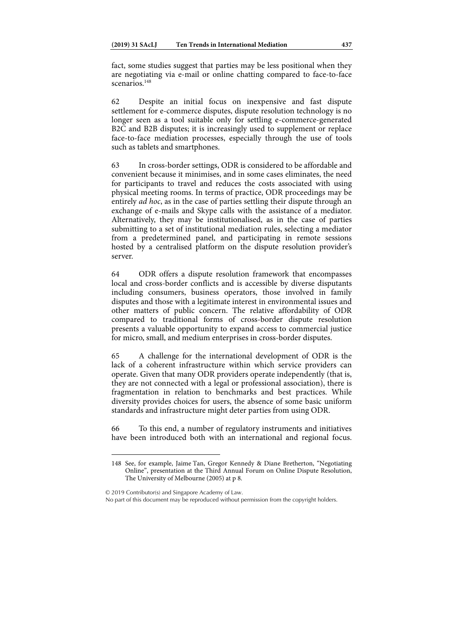fact, some studies suggest that parties may be less positional when they are negotiating via e-mail or online chatting compared to face-to-face scenarios.<sup>148</sup>

62 Despite an initial focus on inexpensive and fast dispute settlement for e-commerce disputes, dispute resolution technology is no longer seen as a tool suitable only for settling e-commerce-generated B2C and B2B disputes; it is increasingly used to supplement or replace face-to-face mediation processes, especially through the use of tools such as tablets and smartphones.

63 In cross-border settings, ODR is considered to be affordable and convenient because it minimises, and in some cases eliminates, the need for participants to travel and reduces the costs associated with using physical meeting rooms. In terms of practice, ODR proceedings may be entirely ad hoc, as in the case of parties settling their dispute through an exchange of e-mails and Skype calls with the assistance of a mediator. Alternatively, they may be institutionalised, as in the case of parties submitting to a set of institutional mediation rules, selecting a mediator from a predetermined panel, and participating in remote sessions hosted by a centralised platform on the dispute resolution provider's server.

64 ODR offers a dispute resolution framework that encompasses local and cross-border conflicts and is accessible by diverse disputants including consumers, business operators, those involved in family disputes and those with a legitimate interest in environmental issues and other matters of public concern. The relative affordability of ODR compared to traditional forms of cross-border dispute resolution presents a valuable opportunity to expand access to commercial justice for micro, small, and medium enterprises in cross-border disputes.

65 A challenge for the international development of ODR is the lack of a coherent infrastructure within which service providers can operate. Given that many ODR providers operate independently (that is, they are not connected with a legal or professional association), there is fragmentation in relation to benchmarks and best practices. While diversity provides choices for users, the absence of some basic uniform standards and infrastructure might deter parties from using ODR.

66 To this end, a number of regulatory instruments and initiatives have been introduced both with an international and regional focus.

© 2019 Contributor(s) and Singapore Academy of Law. No part of this document may be reproduced without permission from the copyright holders.

<sup>148</sup> See, for example, Jaime Tan, Gregor Kennedy & Diane Bretherton, "Negotiating Online", presentation at the Third Annual Forum on Online Dispute Resolution, The University of Melbourne (2005) at p 8.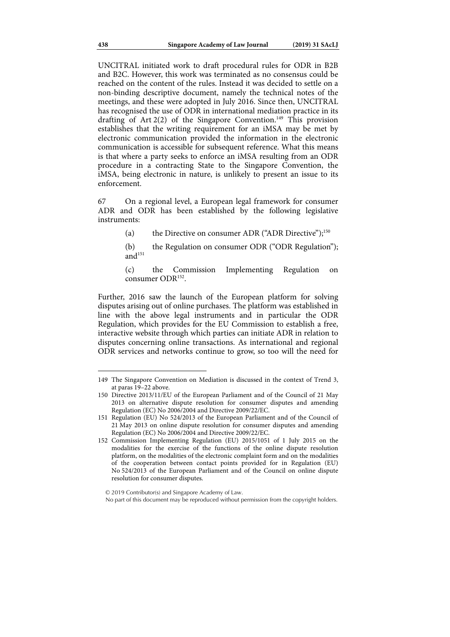UNCITRAL initiated work to draft procedural rules for ODR in B2B and B2C. However, this work was terminated as no consensus could be reached on the content of the rules. Instead it was decided to settle on a non-binding descriptive document, namely the technical notes of the meetings, and these were adopted in July 2016. Since then, UNCITRAL has recognised the use of ODR in international mediation practice in its drafting of Art  $2(2)$  of the Singapore Convention.<sup>149</sup> This provision establishes that the writing requirement for an iMSA may be met by electronic communication provided the information in the electronic communication is accessible for subsequent reference. What this means is that where a party seeks to enforce an iMSA resulting from an ODR procedure in a contracting State to the Singapore Convention, the iMSA, being electronic in nature, is unlikely to present an issue to its enforcement.

67 On a regional level, a European legal framework for consumer ADR and ODR has been established by the following legislative instruments:

(a) the Directive on consumer ADR ("ADR Directive"); $^{150}$ 

(b) the Regulation on consumer ODR ("ODR Regulation"); and $151$ 

(c) the Commission Implementing Regulation on consumer ODR152.

Further, 2016 saw the launch of the European platform for solving disputes arising out of online purchases. The platform was established in line with the above legal instruments and in particular the ODR Regulation, which provides for the EU Commission to establish a free, interactive website through which parties can initiate ADR in relation to disputes concerning online transactions. As international and regional ODR services and networks continue to grow, so too will the need for

<sup>149</sup> The Singapore Convention on Mediation is discussed in the context of Trend 3, at paras 19–22 above.

<sup>150</sup> Directive 2013/11/EU of the European Parliament and of the Council of 21 May 2013 on alternative dispute resolution for consumer disputes and amending Regulation (EC) No 2006/2004 and Directive 2009/22/EC.

<sup>151</sup> Regulation (EU) No 524/2013 of the European Parliament and of the Council of 21 May 2013 on online dispute resolution for consumer disputes and amending Regulation (EC) No 2006/2004 and Directive 2009/22/EC.

<sup>152</sup> Commission Implementing Regulation (EU) 2015/1051 of 1 July 2015 on the modalities for the exercise of the functions of the online dispute resolution platform, on the modalities of the electronic complaint form and on the modalities of the cooperation between contact points provided for in Regulation (EU) No 524/2013 of the European Parliament and of the Council on online dispute resolution for consumer disputes.

No part of this document may be reproduced without permission from the copyright holders.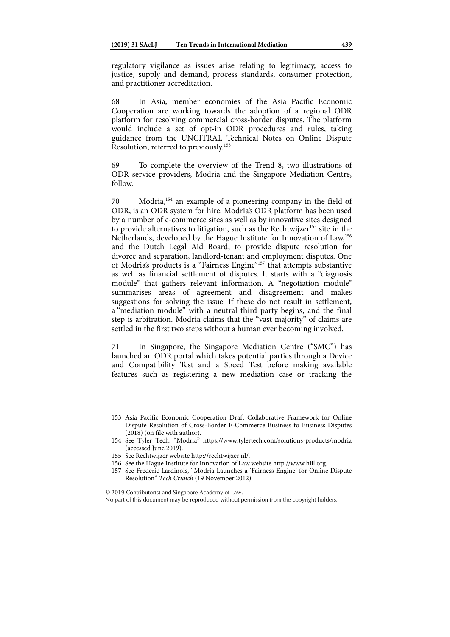regulatory vigilance as issues arise relating to legitimacy, access to justice, supply and demand, process standards, consumer protection, and practitioner accreditation.

68 In Asia, member economies of the Asia Pacific Economic Cooperation are working towards the adoption of a regional ODR platform for resolving commercial cross-border disputes. The platform would include a set of opt-in ODR procedures and rules, taking guidance from the UNCITRAL Technical Notes on Online Dispute Resolution, referred to previously.<sup>153</sup>

69 To complete the overview of the Trend 8, two illustrations of ODR service providers, Modria and the Singapore Mediation Centre, follow.

70 Modria,154 an example of a pioneering company in the field of ODR, is an ODR system for hire. Modria's ODR platform has been used by a number of e-commerce sites as well as by innovative sites designed to provide alternatives to litigation, such as the Rechtwijzer<sup>155</sup> site in the Netherlands, developed by the Hague Institute for Innovation of Law,156 and the Dutch Legal Aid Board, to provide dispute resolution for divorce and separation, landlord-tenant and employment disputes. One of Modria's products is a "Fairness Engine"157 that attempts substantive as well as financial settlement of disputes. It starts with a "diagnosis module" that gathers relevant information. A "negotiation module" summarises areas of agreement and disagreement and makes suggestions for solving the issue. If these do not result in settlement, a "mediation module" with a neutral third party begins, and the final step is arbitration. Modria claims that the "vast majority" of claims are settled in the first two steps without a human ever becoming involved.

71 In Singapore, the Singapore Mediation Centre ("SMC") has launched an ODR portal which takes potential parties through a Device and Compatibility Test and a Speed Test before making available features such as registering a new mediation case or tracking the

1

© 2019 Contributor(s) and Singapore Academy of Law.

No part of this document may be reproduced without permission from the copyright holders.

<sup>153</sup> Asia Pacific Economic Cooperation Draft Collaborative Framework for Online Dispute Resolution of Cross-Border E-Commerce Business to Business Disputes (2018) (on file with author).

<sup>154</sup> See Tyler Tech, "Modria" https://www.tylertech.com/solutions-products/modria (accessed June 2019).

<sup>155</sup> See Rechtwijzer website http://rechtwijzer.nl/.

<sup>156</sup> See the Hague Institute for Innovation of Law website http://www.hiil.org.

<sup>157</sup> See Frederic Lardinois, "Modria Launches a 'Fairness Engine' for Online Dispute Resolution" Tech Crunch (19 November 2012).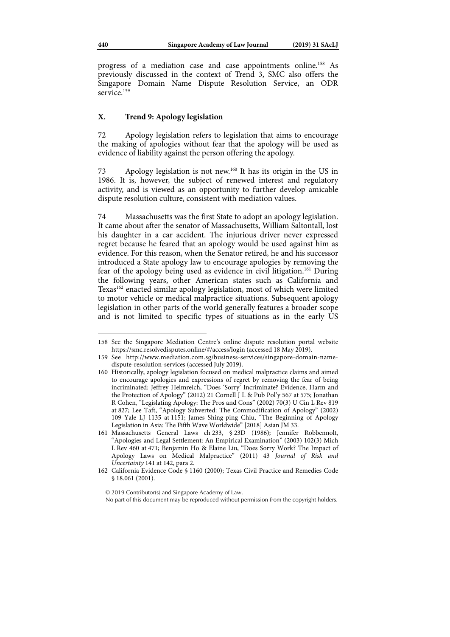progress of a mediation case and case appointments online.158 As previously discussed in the context of Trend 3, SMC also offers the Singapore Domain Name Dispute Resolution Service, an ODR service.<sup>159</sup>

## **X. Trend 9: Apology legislation**

72 Apology legislation refers to legislation that aims to encourage the making of apologies without fear that the apology will be used as evidence of liability against the person offering the apology.

73 Apology legislation is not new.160 It has its origin in the US in 1986. It is, however, the subject of renewed interest and regulatory activity, and is viewed as an opportunity to further develop amicable dispute resolution culture, consistent with mediation values.

74 Massachusetts was the first State to adopt an apology legislation. It came about after the senator of Massachusetts, William Saltontall, lost his daughter in a car accident. The injurious driver never expressed regret because he feared that an apology would be used against him as evidence. For this reason, when the Senator retired, he and his successor introduced a State apology law to encourage apologies by removing the fear of the apology being used as evidence in civil litigation.161 During the following years, other American states such as California and Texas<sup>162</sup> enacted similar apology legislation, most of which were limited to motor vehicle or medical malpractice situations. Subsequent apology legislation in other parts of the world generally features a broader scope and is not limited to specific types of situations as in the early US

<sup>158</sup> See the Singapore Mediation Centre's online dispute resolution portal website https://smc.resolvedisputes.online/#/access/login (accessed 18 May 2019).

<sup>159</sup> See http://www.mediation.com.sg/business-services/singapore-domain-namedispute-resolution-services (accessed July 2019).

<sup>160</sup> Historically, apology legislation focused on medical malpractice claims and aimed to encourage apologies and expressions of regret by removing the fear of being incriminated: Jeffrey Helmreich, "Does 'Sorry' Incriminate? Evidence, Harm and the Protection of Apology" (2012) 21 Cornell J L & Pub Pol'y 567 at 575; Jonathan R Cohen, "Legislating Apology: The Pros and Cons" (2002) 70(3) U Cin L Rev 819 at 827; Lee Taft, "Apology Subverted: The Commodification of Apology" (2002) 109 Yale LJ 1135 at 1151; James Shing-ping Chiu, "The Beginning of Apology Legislation in Asia: The Fifth Wave Worldwide" [2018] Asian JM 33.

<sup>161</sup> Massachusetts General Laws ch 233, § 23D (1986); Jennifer Robbennolt, "Apologies and Legal Settlement: An Empirical Examination" (2003) 102(3) Mich L Rev 460 at 471; Benjamin Ho & Elaine Liu, "Does Sorry Work? The Impact of Apology Laws on Medical Malpractice" (2011) 43 Journal of Risk and Uncertainty 141 at 142, para 2.

<sup>162</sup> California Evidence Code § 1160 (2000); Texas Civil Practice and Remedies Code § 18.061 (2001).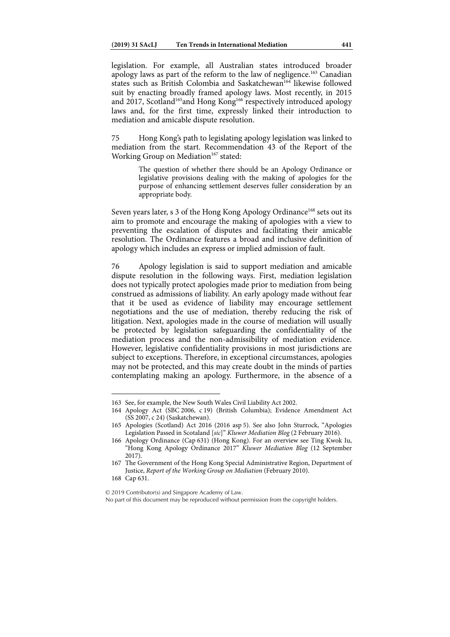legislation. For example, all Australian states introduced broader apology laws as part of the reform to the law of negligence.163 Canadian states such as British Colombia and Saskatchewan<sup>164</sup> likewise followed suit by enacting broadly framed apology laws. Most recently, in 2015 and 2017, Scotland<sup>165</sup>and Hong Kong<sup>166</sup> respectively introduced apology laws and, for the first time, expressly linked their introduction to mediation and amicable dispute resolution.

75 Hong Kong's path to legislating apology legislation was linked to mediation from the start. Recommendation 43 of the Report of the Working Group on Mediation<sup>167</sup> stated:

> The question of whether there should be an Apology Ordinance or legislative provisions dealing with the making of apologies for the purpose of enhancing settlement deserves fuller consideration by an appropriate body.

Seven years later, s 3 of the Hong Kong Apology Ordinance<sup>168</sup> sets out its aim to promote and encourage the making of apologies with a view to preventing the escalation of disputes and facilitating their amicable resolution. The Ordinance features a broad and inclusive definition of apology which includes an express or implied admission of fault.

76 Apology legislation is said to support mediation and amicable dispute resolution in the following ways. First, mediation legislation does not typically protect apologies made prior to mediation from being construed as admissions of liability. An early apology made without fear that it be used as evidence of liability may encourage settlement negotiations and the use of mediation, thereby reducing the risk of litigation. Next, apologies made in the course of mediation will usually be protected by legislation safeguarding the confidentiality of the mediation process and the non-admissibility of mediation evidence. However, legislative confidentiality provisions in most jurisdictions are subject to exceptions. Therefore, in exceptional circumstances, apologies may not be protected, and this may create doubt in the minds of parties contemplating making an apology. Furthermore, in the absence of a

1

© 2019 Contributor(s) and Singapore Academy of Law.

<sup>163</sup> See, for example, the New South Wales Civil Liability Act 2002.

<sup>164</sup> Apology Act (SBC 2006, c 19) (British Columbia); Evidence Amendment Act (SS 2007, c 24) (Saskatchewan).

<sup>165</sup> Apologies (Scotland) Act 2016 (2016 asp 5). See also John Sturrock, "Apologies Legislation Passed in Scotaland [sic]" Kluwer Mediation Blog (2 February 2016).

<sup>166</sup> Apology Ordinance (Cap 631) (Hong Kong). For an overview see Ting Kwok Iu, "Hong Kong Apology Ordinance 2017" Kluwer Mediation Blog (12 September 2017).

<sup>167</sup> The Government of the Hong Kong Special Administrative Region, Department of Justice, Report of the Working Group on Mediation (February 2010).

<sup>168</sup> Cap 631.

No part of this document may be reproduced without permission from the copyright holders.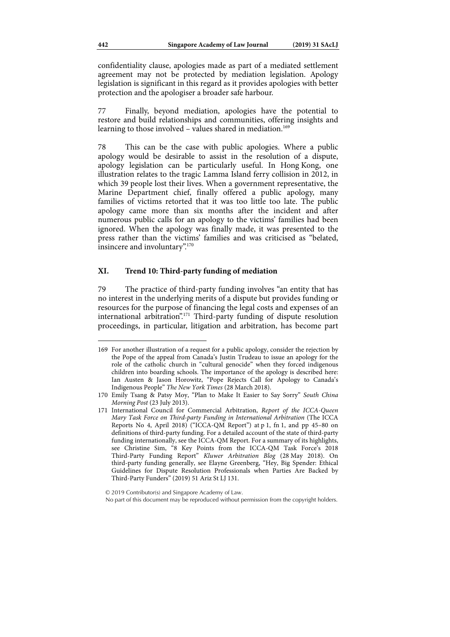confidentiality clause, apologies made as part of a mediated settlement agreement may not be protected by mediation legislation. Apology legislation is significant in this regard as it provides apologies with better protection and the apologiser a broader safe harbour.

77 Finally, beyond mediation, apologies have the potential to restore and build relationships and communities, offering insights and learning to those involved – values shared in mediation.<sup>169</sup>

78 This can be the case with public apologies. Where a public apology would be desirable to assist in the resolution of a dispute, apology legislation can be particularly useful. In Hong Kong, one illustration relates to the tragic Lamma Island ferry collision in 2012, in which 39 people lost their lives. When a government representative, the Marine Department chief, finally offered a public apology, many families of victims retorted that it was too little too late. The public apology came more than six months after the incident and after numerous public calls for an apology to the victims' families had been ignored. When the apology was finally made, it was presented to the press rather than the victims' families and was criticised as "belated, insincere and involuntary".170

## **XI. Trend 10: Third-party funding of mediation**

79 The practice of third-party funding involves "an entity that has no interest in the underlying merits of a dispute but provides funding or resources for the purpose of financing the legal costs and expenses of an international arbitration".171 Third-party funding of dispute resolution proceedings, in particular, litigation and arbitration, has become part

<sup>169</sup> For another illustration of a request for a public apology, consider the rejection by the Pope of the appeal from Canada's Justin Trudeau to issue an apology for the role of the catholic church in "cultural genocide" when they forced indigenous children into boarding schools. The importance of the apology is described here: Ian Austen & Jason Horowitz, "Pope Rejects Call for Apology to Canada's Indigenous People" The New York Times (28 March 2018).

<sup>170</sup> Emily Tsang & Patsy Moy, "Plan to Make It Easier to Say Sorry" South China Morning Post (23 July 2013).

<sup>171</sup> International Council for Commercial Arbitration, Report of the ICCA-Queen Mary Task Force on Third-party Funding in International Arbitration (The ICCA Reports No 4, April 2018) ("ICCA-QM Report") at p 1, fn 1, and pp 45–80 on definitions of third-party funding. For a detailed account of the state of third-party funding internationally, see the ICCA-QM Report. For a summary of its highlights, see Christine Sim, "8 Key Points from the ICCA-QM Task Force's 2018 Third-Party Funding Report" Kluwer Arbitration Blog (28 May 2018). On third-party funding generally, see Elayne Greenberg, "Hey, Big Spender: Ethical Guidelines for Dispute Resolution Professionals when Parties Are Backed by Third-Party Funders" (2019) 51 Ariz St LJ 131.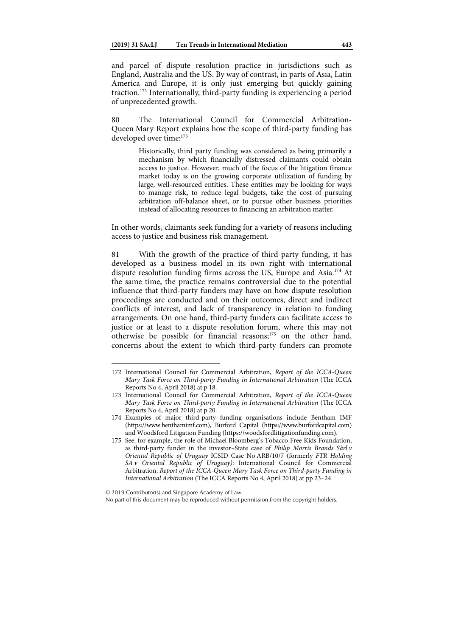and parcel of dispute resolution practice in jurisdictions such as England, Australia and the US. By way of contrast, in parts of Asia, Latin America and Europe, it is only just emerging but quickly gaining traction.172 Internationally, third-party funding is experiencing a period of unprecedented growth.

80 The International Council for Commercial Arbitration-Queen Mary Report explains how the scope of third-party funding has developed over time:<sup>173</sup>

> Historically, third party funding was considered as being primarily a mechanism by which financially distressed claimants could obtain access to justice. However, much of the focus of the litigation finance market today is on the growing corporate utilization of funding by large, well-resourced entities. These entities may be looking for ways to manage risk, to reduce legal budgets, take the cost of pursuing arbitration off-balance sheet, or to pursue other business priorities instead of allocating resources to financing an arbitration matter.

In other words, claimants seek funding for a variety of reasons including access to justice and business risk management.

81 With the growth of the practice of third-party funding, it has developed as a business model in its own right with international dispute resolution funding firms across the US, Europe and Asia.174 At the same time, the practice remains controversial due to the potential influence that third-party funders may have on how dispute resolution proceedings are conducted and on their outcomes, direct and indirect conflicts of interest, and lack of transparency in relation to funding arrangements. On one hand, third-party funders can facilitate access to justice or at least to a dispute resolution forum, where this may not otherwise be possible for financial reasons;175 on the other hand, concerns about the extent to which third-party funders can promote

<sup>172</sup> International Council for Commercial Arbitration, Report of the ICCA-Queen Mary Task Force on Third-party Funding in International Arbitration (The ICCA Reports No 4, April 2018) at p 18.

<sup>173</sup> International Council for Commercial Arbitration, Report of the ICCA-Queen Mary Task Force on Third-party Funding in International Arbitration (The ICCA Reports No 4, April 2018) at p 20.

<sup>174</sup> Examples of major third-party funding organisations include Bentham IMF (https://www.benthamimf.com), Burford Capital (https://www.burfordcapital.com) and Woodsford Litigation Funding (https://woodsfordlitigationfunding.com).

<sup>175</sup> See, for example, the role of Michael Bloomberg's Tobacco Free Kids Foundation, as third-party funder in the investor–State case of Philip Morris Brands Sàrl v Oriental Republic of Uruguay ICSID Case No ARB/10/7 (formerly FTR Holding SA v Oriental Republic of Uruguay): International Council for Commercial Arbitration, Report of the ICCA-Queen Mary Task Force on Third-party Funding in International Arbitration (The ICCA Reports No 4, April 2018) at pp 23–24.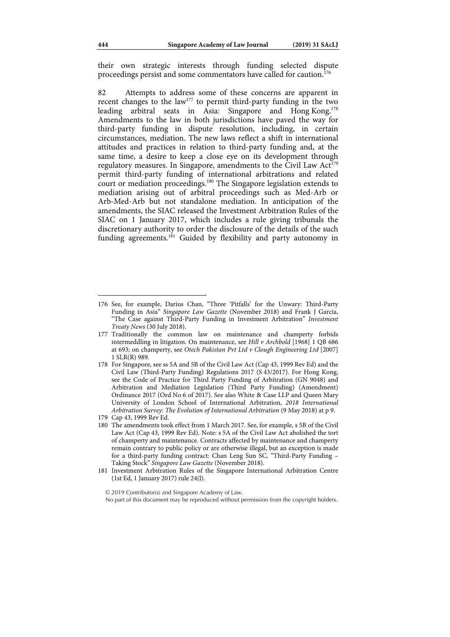their own strategic interests through funding selected dispute proceedings persist and some commentators have called for caution.<sup>176</sup>

82 Attempts to address some of these concerns are apparent in recent changes to the law<sup>177</sup> to permit third-party funding in the two leading arbitral seats in Asia: Singapore and Hong Kong.178 Amendments to the law in both jurisdictions have paved the way for third-party funding in dispute resolution, including, in certain circumstances, mediation. The new laws reflect a shift in international attitudes and practices in relation to third-party funding and, at the same time, a desire to keep a close eye on its development through regulatory measures. In Singapore, amendments to the Civil Law  $Act^{179}$ permit third-party funding of international arbitrations and related court or mediation proceedings.<sup>180</sup> The Singapore legislation extends to mediation arising out of arbitral proceedings such as Med-Arb or Arb-Med-Arb but not standalone mediation. In anticipation of the amendments, the SIAC released the Investment Arbitration Rules of the SIAC on 1 January 2017, which includes a rule giving tribunals the discretionary authority to order the disclosure of the details of the such funding agreements.<sup>181</sup> Guided by flexibility and party autonomy in

<sup>176</sup> See, for example, Darius Chan, "Three 'Pitfalls' for the Unwary: Third-Party Funding in Asia" Singapore Law Gazette (November 2018) and Frank J Garcia, "The Case against Third-Party Funding in Investment Arbitration" Investment Treaty News (30 July 2018).

<sup>177</sup> Traditionally the common law on maintenance and champerty forbids intermeddling in litigation. On maintenance, see Hill v Archbold [1968] 1 QB 686 at 693; on champerty, see Otech Pakistan Pvt Ltd v Clough Engineering Ltd [2007] 1 SLR(R) 989.

<sup>178</sup> For Singapore, see ss 5A and 5B of the Civil Law Act (Cap 43, 1999 Rev Ed) and the Civil Law (Third-Party Funding) Regulations 2017 (S 43/2017). For Hong Kong, see the Code of Practice for Third Party Funding of Arbitration (GN 9048) and Arbitration and Mediation Legislation (Third Party Funding) (Amendment) Ordinance 2017 (Ord No 6 of 2017). See also White & Case LLP and Queen Mary University of London School of International Arbitration, 2018 International Arbitration Survey: The Evolution of International Arbitration (9 May 2018) at p 9.

<sup>179</sup> Cap 43, 1999 Rev Ed.

<sup>180</sup> The amendments took effect from 1 March 2017. See, for example, s 5B of the Civil Law Act (Cap 43, 1999 Rev Ed). Note: s 5A of the Civil Law Act abolished the tort of champerty and maintenance. Contracts affected by maintenance and champerty remain contrary to public policy or are otherwise illegal, but an exception is made for a third-party funding contract: Chan Leng Sun SC, "Third-Party Funding – Taking Stock" Singapore Law Gazette (November 2018).

<sup>181</sup> Investment Arbitration Rules of the Singapore International Arbitration Centre (1st Ed, 1 January 2017) rule 24(l).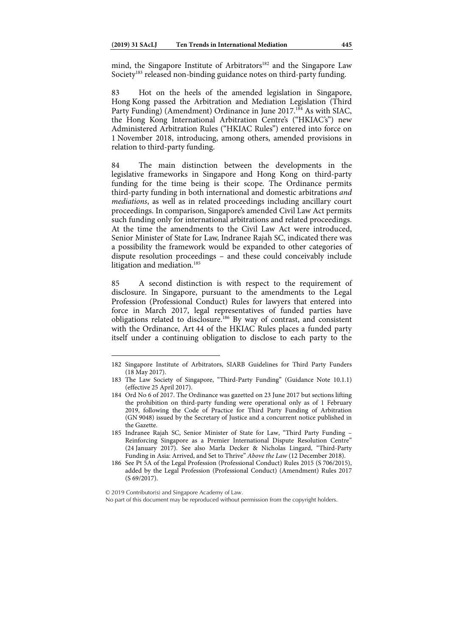mind, the Singapore Institute of Arbitrators<sup>182</sup> and the Singapore Law Society<sup>183</sup> released non-binding guidance notes on third-party funding.

83 Hot on the heels of the amended legislation in Singapore, Hong Kong passed the Arbitration and Mediation Legislation (Third Party Funding) (Amendment) Ordinance in June 2017.<sup>184</sup> As with SIAC, the Hong Kong International Arbitration Centre's ("HKIAC's") new Administered Arbitration Rules ("HKIAC Rules") entered into force on 1 November 2018, introducing, among others, amended provisions in relation to third-party funding.

84 The main distinction between the developments in the legislative frameworks in Singapore and Hong Kong on third-party funding for the time being is their scope. The Ordinance permits third-party funding in both international and domestic arbitrations and mediations, as well as in related proceedings including ancillary court proceedings. In comparison, Singapore's amended Civil Law Act permits such funding only for international arbitrations and related proceedings. At the time the amendments to the Civil Law Act were introduced, Senior Minister of State for Law, Indranee Rajah SC, indicated there was a possibility the framework would be expanded to other categories of dispute resolution proceedings – and these could conceivably include litigation and mediation.<sup>185</sup>

85 A second distinction is with respect to the requirement of disclosure. In Singapore, pursuant to the amendments to the Legal Profession (Professional Conduct) Rules for lawyers that entered into force in March 2017, legal representatives of funded parties have obligations related to disclosure.186 By way of contrast, and consistent with the Ordinance, Art 44 of the HKIAC Rules places a funded party itself under a continuing obligation to disclose to each party to the

<sup>182</sup> Singapore Institute of Arbitrators, SIARB Guidelines for Third Party Funders (18 May 2017).

<sup>183</sup> The Law Society of Singapore, "Third-Party Funding" (Guidance Note 10.1.1) (effective 25 April 2017).

<sup>184</sup> Ord No 6 of 2017. The Ordinance was gazetted on 23 June 2017 but sections lifting the prohibition on third-party funding were operational only as of 1 February 2019, following the Code of Practice for Third Party Funding of Arbitration (GN 9048) issued by the Secretary of Justice and a concurrent notice published in the Gazette.

<sup>185</sup> Indranee Rajah SC, Senior Minister of State for Law, "Third Party Funding – Reinforcing Singapore as a Premier International Dispute Resolution Centre" (24 January 2017). See also Marla Decker & Nicholas Lingard, "Third-Party Funding in Asia: Arrived, and Set to Thrive" Above the Law (12 December 2018).

<sup>186</sup> See Pt 5A of the Legal Profession (Professional Conduct) Rules 2015 (S 706/2015), added by the Legal Profession (Professional Conduct) (Amendment) Rules 2017 (S 69/2017).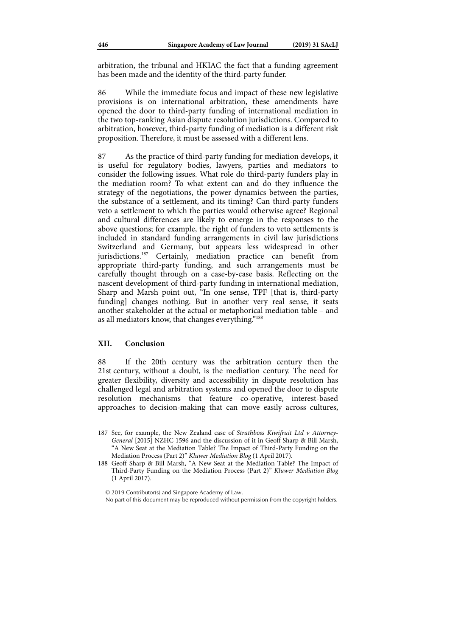arbitration, the tribunal and HKIAC the fact that a funding agreement has been made and the identity of the third-party funder.

86 While the immediate focus and impact of these new legislative provisions is on international arbitration, these amendments have opened the door to third-party funding of international mediation in the two top-ranking Asian dispute resolution jurisdictions. Compared to arbitration, however, third-party funding of mediation is a different risk proposition. Therefore, it must be assessed with a different lens.

87 As the practice of third-party funding for mediation develops, it is useful for regulatory bodies, lawyers, parties and mediators to consider the following issues. What role do third-party funders play in the mediation room? To what extent can and do they influence the strategy of the negotiations, the power dynamics between the parties, the substance of a settlement, and its timing? Can third-party funders veto a settlement to which the parties would otherwise agree? Regional and cultural differences are likely to emerge in the responses to the above questions; for example, the right of funders to veto settlements is included in standard funding arrangements in civil law jurisdictions Switzerland and Germany, but appears less widespread in other jurisdictions.<sup>187</sup> Certainly, mediation practice can benefit from appropriate third-party funding, and such arrangements must be carefully thought through on a case-by-case basis. Reflecting on the nascent development of third-party funding in international mediation, Sharp and Marsh point out, "In one sense, TPF [that is, third-party funding] changes nothing. But in another very real sense, it seats another stakeholder at the actual or metaphorical mediation table – and as all mediators know, that changes everything."188

## **XII. Conclusion**

 $\overline{a}$ 

88 If the 20th century was the arbitration century then the 21st century, without a doubt, is the mediation century. The need for greater flexibility, diversity and accessibility in dispute resolution has challenged legal and arbitration systems and opened the door to dispute resolution mechanisms that feature co-operative, interest-based approaches to decision-making that can move easily across cultures,

<sup>187</sup> See, for example, the New Zealand case of Strathboss Kiwifruit Ltd  $v$  Attorney-General [2015] NZHC 1596 and the discussion of it in Geoff Sharp & Bill Marsh, "A New Seat at the Mediation Table? The Impact of Third-Party Funding on the Mediation Process (Part 2)" Kluwer Mediation Blog (1 April 2017).

<sup>188</sup> Geoff Sharp & Bill Marsh, "A New Seat at the Mediation Table? The Impact of Third-Party Funding on the Mediation Process (Part 2)" Kluwer Mediation Blog (1 April 2017).